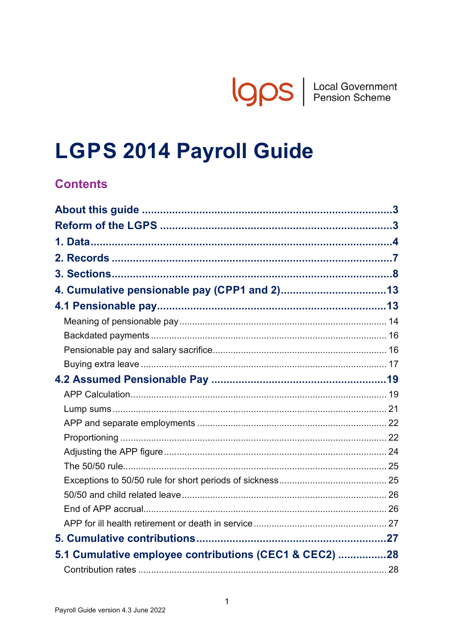**IQOS** | Local Government

# **LGPS 2014 Payroll Guide**

# **Contents**

| 5.1 Cumulative employee contributions (CEC1 & CEC2) 28 |  |
|--------------------------------------------------------|--|
|                                                        |  |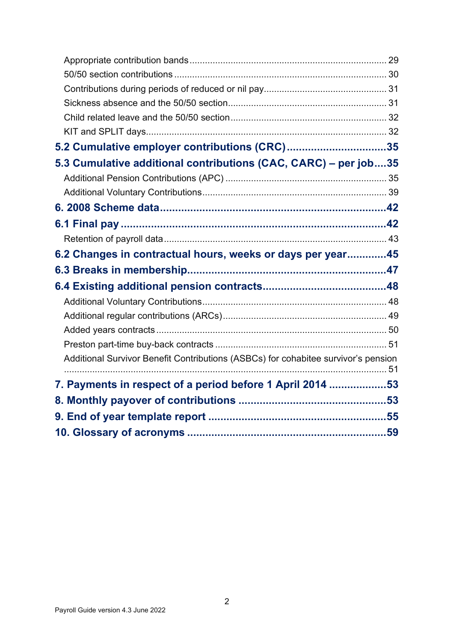| 5.2 Cumulative employer contributions (CRC)35                                      |  |
|------------------------------------------------------------------------------------|--|
| 5.3 Cumulative additional contributions (CAC, CARC) - per job35                    |  |
|                                                                                    |  |
|                                                                                    |  |
|                                                                                    |  |
|                                                                                    |  |
|                                                                                    |  |
| 6.2 Changes in contractual hours, weeks or days per year45                         |  |
|                                                                                    |  |
|                                                                                    |  |
|                                                                                    |  |
|                                                                                    |  |
|                                                                                    |  |
|                                                                                    |  |
| Additional Survivor Benefit Contributions (ASBCs) for cohabitee survivor's pension |  |
| 7. Payments in respect of a period before 1 April 2014 53                          |  |
|                                                                                    |  |
|                                                                                    |  |
|                                                                                    |  |
|                                                                                    |  |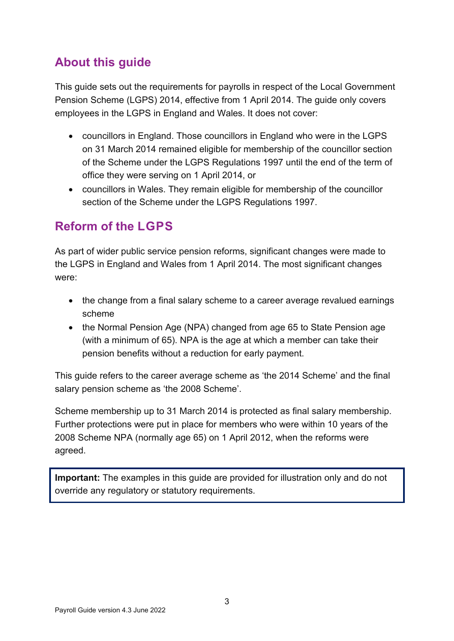# <span id="page-2-0"></span>**About this guide**

This guide sets out the requirements for payrolls in respect of the Local Government Pension Scheme (LGPS) 2014, effective from 1 April 2014. The guide only covers employees in the LGPS in England and Wales. It does not cover:

- councillors in England. Those councillors in England who were in the LGPS on 31 March 2014 remained eligible for membership of the councillor section of the Scheme under the LGPS Regulations 1997 until the end of the term of office they were serving on 1 April 2014, or
- councillors in Wales. They remain eligible for membership of the councillor section of the Scheme under the LGPS Regulations 1997.

# <span id="page-2-1"></span>**Reform of the LGPS**

As part of wider public service pension reforms, significant changes were made to the LGPS in England and Wales from 1 April 2014. The most significant changes were:

- the change from a final salary scheme to a career average revalued earnings scheme
- the Normal Pension Age (NPA) changed from age 65 to State Pension age (with a minimum of 65). NPA is the age at which a member can take their pension benefits without a reduction for early payment.

This guide refers to the career average scheme as 'the 2014 Scheme' and the final salary pension scheme as 'the 2008 Scheme'.

Scheme membership up to 31 March 2014 is protected as final salary membership. Further protections were put in place for members who were within 10 years of the 2008 Scheme NPA (normally age 65) on 1 April 2012, when the reforms were agreed.

**Important:** The examples in this guide are provided for illustration only and do not override any regulatory or statutory requirements.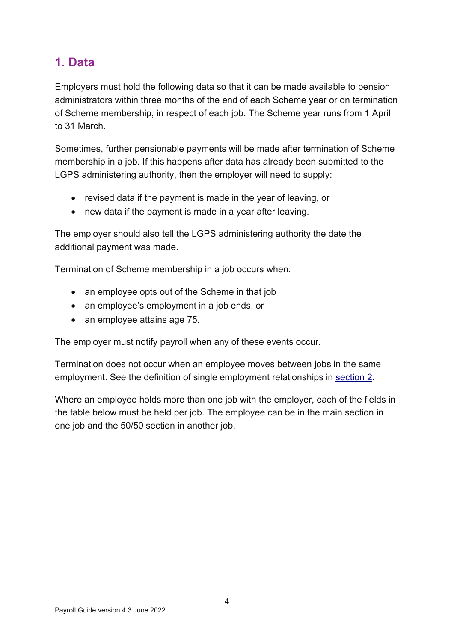# <span id="page-3-0"></span>**1. Data**

Employers must hold the following data so that it can be made available to pension administrators within three months of the end of each Scheme year or on termination of Scheme membership, in respect of each job. The Scheme year runs from 1 April to 31 March.

Sometimes, further pensionable payments will be made after termination of Scheme membership in a job. If this happens after data has already been submitted to the LGPS administering authority, then the employer will need to supply:

- revised data if the payment is made in the year of leaving, or
- new data if the payment is made in a year after leaving.

The employer should also tell the LGPS administering authority the date the additional payment was made.

Termination of Scheme membership in a job occurs when:

- an employee opts out of the Scheme in that job
- an employee's employment in a job ends, or
- an employee attains age 75.

The employer must notify payroll when any of these events occur.

Termination does not occur when an employee moves between jobs in the same employment. See the definition of single employment relationships in [section 2.](#page-6-0)

Where an employee holds more than one job with the employer, each of the fields in the table below must be held per job. The employee can be in the main section in one job and the 50/50 section in another job.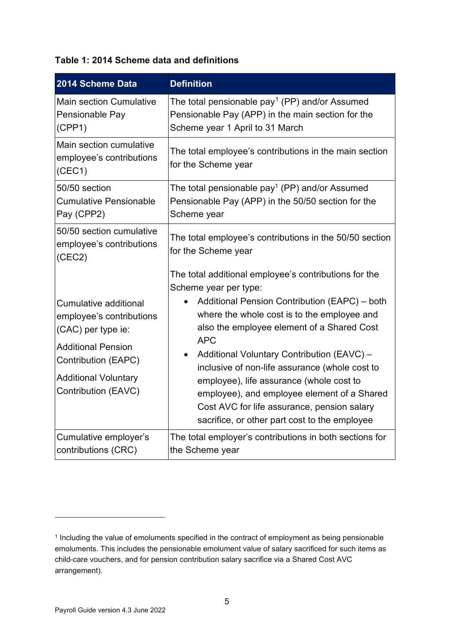#### **Table 1: 2014 Scheme data and definitions**

| 2014 Scheme Data                                                                                                                                                                         | <b>Definition</b>                                                                                                                                                                                                                                                                                                                                                                                                                                                                                                                                  |
|------------------------------------------------------------------------------------------------------------------------------------------------------------------------------------------|----------------------------------------------------------------------------------------------------------------------------------------------------------------------------------------------------------------------------------------------------------------------------------------------------------------------------------------------------------------------------------------------------------------------------------------------------------------------------------------------------------------------------------------------------|
| <b>Main section Cumulative</b><br>Pensionable Pay<br>(CPP1)                                                                                                                              | The total pensionable pay <sup>1</sup> (PP) and/or Assumed<br>Pensionable Pay (APP) in the main section for the<br>Scheme year 1 April to 31 March                                                                                                                                                                                                                                                                                                                                                                                                 |
| Main section cumulative<br>employee's contributions<br>(CEC1)                                                                                                                            | The total employee's contributions in the main section<br>for the Scheme year                                                                                                                                                                                                                                                                                                                                                                                                                                                                      |
| 50/50 section<br><b>Cumulative Pensionable</b><br>Pay (CPP2)                                                                                                                             | The total pensionable pay <sup>1</sup> (PP) and/or Assumed<br>Pensionable Pay (APP) in the 50/50 section for the<br>Scheme year                                                                                                                                                                                                                                                                                                                                                                                                                    |
| 50/50 section cumulative<br>employee's contributions<br>(CEC2)                                                                                                                           | The total employee's contributions in the 50/50 section<br>for the Scheme year                                                                                                                                                                                                                                                                                                                                                                                                                                                                     |
| <b>Cumulative additional</b><br>employee's contributions<br>(CAC) per type ie:<br><b>Additional Pension</b><br>Contribution (EAPC)<br><b>Additional Voluntary</b><br>Contribution (EAVC) | The total additional employee's contributions for the<br>Scheme year per type:<br>Additional Pension Contribution (EAPC) – both<br>where the whole cost is to the employee and<br>also the employee element of a Shared Cost<br><b>APC</b><br>Additional Voluntary Contribution (EAVC) -<br>$\bullet$<br>inclusive of non-life assurance (whole cost to<br>employee), life assurance (whole cost to<br>employee), and employee element of a Shared<br>Cost AVC for life assurance, pension salary<br>sacrifice, or other part cost to the employee |
| Cumulative employer's<br>contributions (CRC)                                                                                                                                             | The total employer's contributions in both sections for<br>the Scheme year                                                                                                                                                                                                                                                                                                                                                                                                                                                                         |

<span id="page-4-0"></span><sup>&</sup>lt;sup>1</sup> Including the value of emoluments specified in the contract of employment as being pensionable emoluments. This includes the pensionable emolument value of salary sacrificed for such items as child-care vouchers, and for pension contribution salary sacrifice via a Shared Cost AVC arrangement).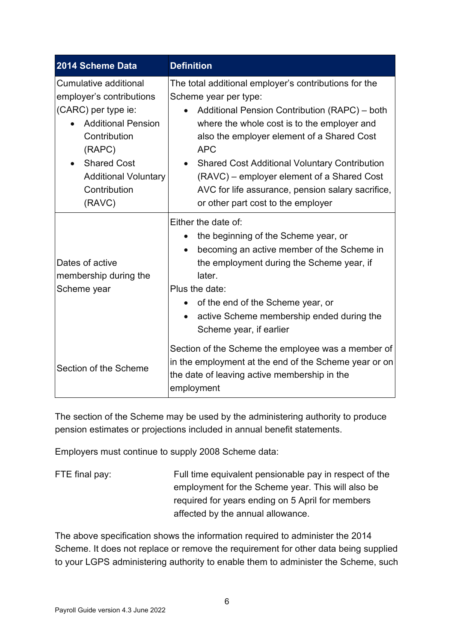| 2014 Scheme Data                                                                                                                                                                                               | <b>Definition</b>                                                                                                                                                                                                                                                                                                                                                                                                                           |
|----------------------------------------------------------------------------------------------------------------------------------------------------------------------------------------------------------------|---------------------------------------------------------------------------------------------------------------------------------------------------------------------------------------------------------------------------------------------------------------------------------------------------------------------------------------------------------------------------------------------------------------------------------------------|
| Cumulative additional<br>employer's contributions<br>(CARC) per type ie:<br><b>Additional Pension</b><br>Contribution<br>(RAPC)<br><b>Shared Cost</b><br><b>Additional Voluntary</b><br>Contribution<br>(RAVC) | The total additional employer's contributions for the<br>Scheme year per type:<br>Additional Pension Contribution (RAPC) - both<br>where the whole cost is to the employer and<br>also the employer element of a Shared Cost<br><b>APC</b><br><b>Shared Cost Additional Voluntary Contribution</b><br>(RAVC) – employer element of a Shared Cost<br>AVC for life assurance, pension salary sacrifice,<br>or other part cost to the employer |
| Dates of active<br>membership during the<br>Scheme year                                                                                                                                                        | Either the date of:<br>the beginning of the Scheme year, or<br>becoming an active member of the Scheme in<br>the employment during the Scheme year, if<br>later.<br>Plus the date:<br>of the end of the Scheme year, or<br>$\bullet$<br>active Scheme membership ended during the<br>$\bullet$<br>Scheme year, if earlier                                                                                                                   |
| Section of the Scheme                                                                                                                                                                                          | Section of the Scheme the employee was a member of<br>in the employment at the end of the Scheme year or on<br>the date of leaving active membership in the<br>employment                                                                                                                                                                                                                                                                   |

The section of the Scheme may be used by the administering authority to produce pension estimates or projections included in annual benefit statements.

Employers must continue to supply 2008 Scheme data:

| FTE final pay: | Full time equivalent pensionable pay in respect of the |
|----------------|--------------------------------------------------------|
|                | employment for the Scheme year. This will also be      |
|                | required for years ending on 5 April for members       |
|                | affected by the annual allowance.                      |

The above specification shows the information required to administer the 2014 Scheme. It does not replace or remove the requirement for other data being supplied to your LGPS administering authority to enable them to administer the Scheme, such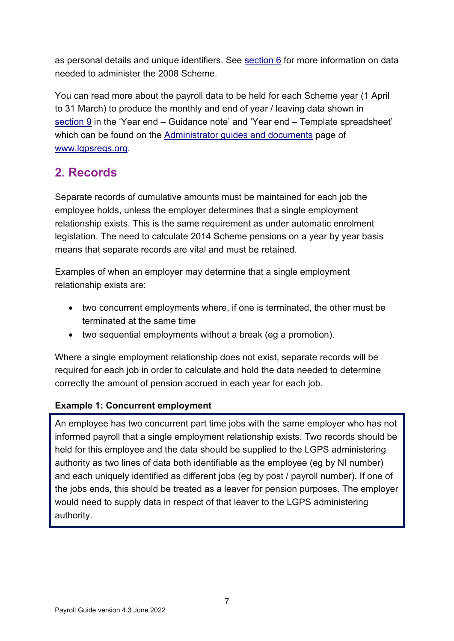as personal details and unique identifiers. See [section 6](#page-41-0) for more information on data needed to administer the 2008 Scheme.

You can read more about the payroll data to be held for each Scheme year (1 April to 31 March) to produce the monthly and end of year / leaving data shown in [section 9](#page-54-0) in the 'Year end – Guidance note' and 'Year end – Template spreadsheet' which can be found on the [Administrator guides and documents](https://www.lgpsregs.org/resources/guidesetc.php) page of [www.lgpsregs.org.](http://www.lgpsregs.org/)

# <span id="page-6-0"></span>**2. Records**

Separate records of cumulative amounts must be maintained for each job the employee holds, unless the employer determines that a single employment relationship exists. This is the same requirement as under automatic enrolment legislation. The need to calculate 2014 Scheme pensions on a year by year basis means that separate records are vital and must be retained.

Examples of when an employer may determine that a single employment relationship exists are:

- two concurrent employments where, if one is terminated, the other must be terminated at the same time
- two sequential employments without a break (eg a promotion).

Where a single employment relationship does not exist, separate records will be required for each job in order to calculate and hold the data needed to determine correctly the amount of pension accrued in each year for each job.

### **Example 1: Concurrent employment**

An employee has two concurrent part time jobs with the same employer who has not informed payroll that a single employment relationship exists. Two records should be held for this employee and the data should be supplied to the LGPS administering authority as two lines of data both identifiable as the employee (eg by NI number) and each uniquely identified as different jobs (eg by post / payroll number). If one of the jobs ends, this should be treated as a leaver for pension purposes. The employer would need to supply data in respect of that leaver to the LGPS administering authority.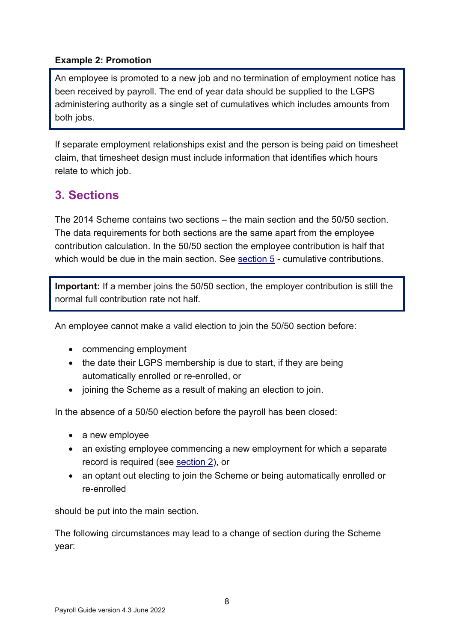#### **Example 2: Promotion**

An employee is promoted to a new job and no termination of employment notice has been received by payroll. The end of year data should be supplied to the LGPS administering authority as a single set of cumulatives which includes amounts from both jobs.

If separate employment relationships exist and the person is being paid on timesheet claim, that timesheet design must include information that identifies which hours relate to which job.

# <span id="page-7-0"></span>**3. Sections**

The 2014 Scheme contains two sections – the main section and the 50/50 section. The data requirements for both sections are the same apart from the employee contribution calculation. In the 50/50 section the employee contribution is half that which would be due in the main section. See [section 5](#page-26-1) - cumulative contributions.

**Important:** If a member joins the 50/50 section, the employer contribution is still the normal full contribution rate not half.

An employee cannot make a valid election to join the 50/50 section before:

- commencing employment
- $\bullet$  the date their LGPS membership is due to start, if they are being automatically enrolled or re-enrolled, or
- joining the Scheme as a result of making an election to join.

In the absence of a 50/50 election before the payroll has been closed:

- a new employee
- an existing employee commencing a new employment for which a separate record is required (see [section 2\)](#page-6-0), or
- an optant out electing to join the Scheme or being automatically enrolled or re-enrolled

should be put into the main section.

The following circumstances may lead to a change of section during the Scheme year: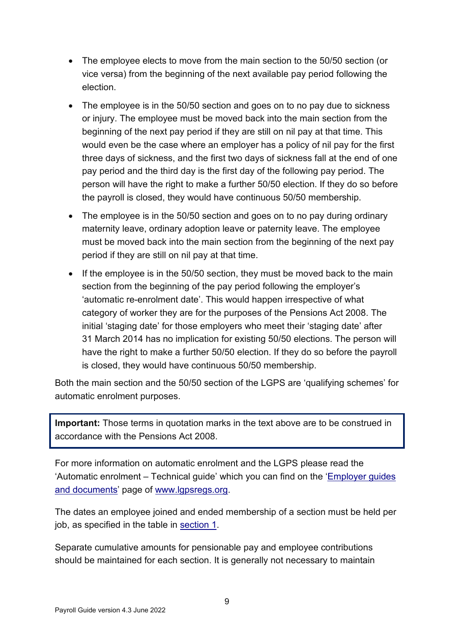- The employee elects to move from the main section to the 50/50 section (or vice versa) from the beginning of the next available pay period following the election.
- The employee is in the 50/50 section and goes on to no pay due to sickness or injury. The employee must be moved back into the main section from the beginning of the next pay period if they are still on nil pay at that time. This would even be the case where an employer has a policy of nil pay for the first three days of sickness, and the first two days of sickness fall at the end of one pay period and the third day is the first day of the following pay period. The person will have the right to make a further 50/50 election. If they do so before the payroll is closed, they would have continuous 50/50 membership.
- The employee is in the 50/50 section and goes on to no pay during ordinary maternity leave, ordinary adoption leave or paternity leave. The employee must be moved back into the main section from the beginning of the next pay period if they are still on nil pay at that time.
- If the employee is in the 50/50 section, they must be moved back to the main section from the beginning of the pay period following the employer's 'automatic re-enrolment date'. This would happen irrespective of what category of worker they are for the purposes of the Pensions Act 2008. The initial 'staging date' for those employers who meet their 'staging date' after 31 March 2014 has no implication for existing 50/50 elections. The person will have the right to make a further 50/50 election. If they do so before the payroll is closed, they would have continuous 50/50 membership.

Both the main section and the 50/50 section of the LGPS are 'qualifying schemes' for automatic enrolment purposes.

**Important:** Those terms in quotation marks in the text above are to be construed in accordance with the Pensions Act 2008.

For more information on automatic enrolment and the LGPS please read the 'Automatic enrolment – Technical guide' which you can find on the ['Employer guides](https://www.lgpsregs.org/employer-resources/guidesetc.php)  [and documents'](https://www.lgpsregs.org/employer-resources/guidesetc.php) page of [www.lgpsregs.org.](http://www.lgpsregs.org/)

The dates an employee joined and ended membership of a section must be held per job, as specified in the table in [section 1.](#page-3-0)

Separate cumulative amounts for pensionable pay and employee contributions should be maintained for each section. It is generally not necessary to maintain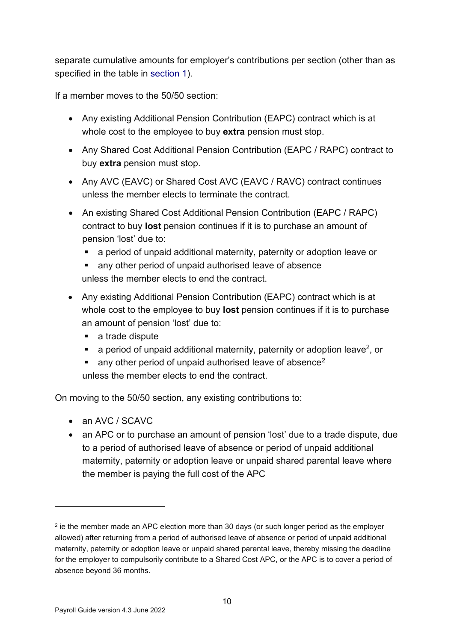separate cumulative amounts for employer's contributions per section (other than as specified in the table in [section 1\)](#page-3-0).

If a member moves to the 50/50 section:

- Any existing Additional Pension Contribution (EAPC) contract which is at whole cost to the employee to buy **extra** pension must stop.
- Any Shared Cost Additional Pension Contribution (EAPC / RAPC) contract to buy **extra** pension must stop.
- Any AVC (EAVC) or Shared Cost AVC (EAVC / RAVC) contract continues unless the member elects to terminate the contract.
- An existing Shared Cost Additional Pension Contribution (EAPC / RAPC) contract to buy **lost** pension continues if it is to purchase an amount of pension 'lost' due to:
	- a period of unpaid additional maternity, paternity or adoption leave or
	- any other period of unpaid authorised leave of absence unless the member elects to end the contract.
- Any existing Additional Pension Contribution (EAPC) contract which is at whole cost to the employee to buy **lost** pension continues if it is to purchase an amount of pension 'lost' due to:
	- a trade dispute
	- a period of unpaid additional maternity, paternity or adoption leave<sup>2</sup>, or
	- any other period of unpaid authorised leave of absence<sup>2</sup> unless the member elects to end the contract.

On moving to the 50/50 section, any existing contributions to:

- an AVC / SCAVC
- an APC or to purchase an amount of pension 'lost' due to a trade dispute, due to a period of authorised leave of absence or period of unpaid additional maternity, paternity or adoption leave or unpaid shared parental leave where the member is paying the full cost of the APC

<span id="page-9-0"></span> $2$  ie the member made an APC election more than 30 days (or such longer period as the employer allowed) after returning from a period of authorised leave of absence or period of unpaid additional maternity, paternity or adoption leave or unpaid shared parental leave, thereby missing the deadline for the employer to compulsorily contribute to a Shared Cost APC, or the APC is to cover a period of absence beyond 36 months.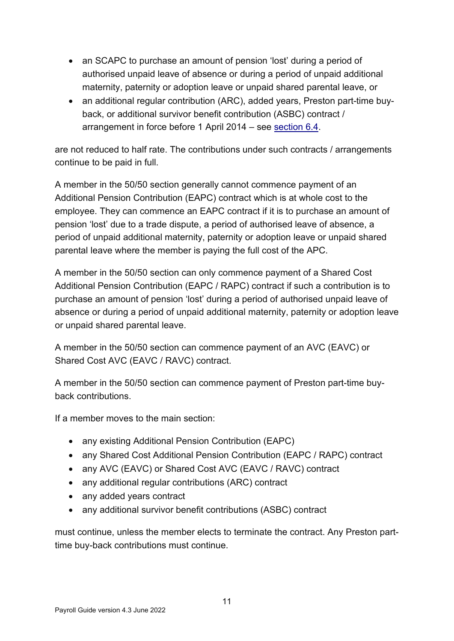- an SCAPC to purchase an amount of pension 'lost' during a period of authorised unpaid leave of absence or during a period of unpaid additional maternity, paternity or adoption leave or unpaid shared parental leave, or
- an additional regular contribution (ARC), added years, Preston part-time buyback, or additional survivor benefit contribution (ASBC) contract / arrangement in force before 1 April 2014 – see [section 6.4.](#page-47-0)

are not reduced to half rate. The contributions under such contracts / arrangements continue to be paid in full.

A member in the 50/50 section generally cannot commence payment of an Additional Pension Contribution (EAPC) contract which is at whole cost to the employee. They can commence an EAPC contract if it is to purchase an amount of pension 'lost' due to a trade dispute, a period of authorised leave of absence, a period of unpaid additional maternity, paternity or adoption leave or unpaid shared parental leave where the member is paying the full cost of the APC.

A member in the 50/50 section can only commence payment of a Shared Cost Additional Pension Contribution (EAPC / RAPC) contract if such a contribution is to purchase an amount of pension 'lost' during a period of authorised unpaid leave of absence or during a period of unpaid additional maternity, paternity or adoption leave or unpaid shared parental leave.

A member in the 50/50 section can commence payment of an AVC (EAVC) or Shared Cost AVC (EAVC / RAVC) contract.

A member in the 50/50 section can commence payment of Preston part-time buyback contributions.

If a member moves to the main section:

- any existing Additional Pension Contribution (EAPC)
- any Shared Cost Additional Pension Contribution (EAPC / RAPC) contract
- any AVC (EAVC) or Shared Cost AVC (EAVC / RAVC) contract
- any additional regular contributions (ARC) contract
- any added years contract
- any additional survivor benefit contributions (ASBC) contract

must continue, unless the member elects to terminate the contract. Any Preston parttime buy-back contributions must continue.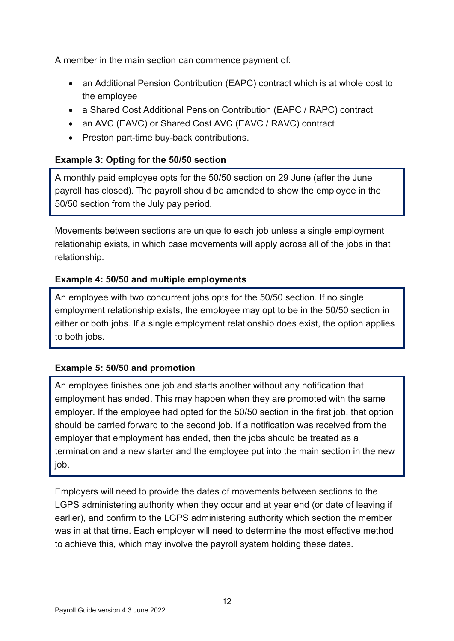A member in the main section can commence payment of:

- an Additional Pension Contribution (EAPC) contract which is at whole cost to the employee
- a Shared Cost Additional Pension Contribution (EAPC / RAPC) contract
- an AVC (EAVC) or Shared Cost AVC (EAVC / RAVC) contract
- Preston part-time buy-back contributions.

# **Example 3: Opting for the 50/50 section**

A monthly paid employee opts for the 50/50 section on 29 June (after the June payroll has closed). The payroll should be amended to show the employee in the 50/50 section from the July pay period.

Movements between sections are unique to each job unless a single employment relationship exists, in which case movements will apply across all of the jobs in that relationship.

### **Example 4: 50/50 and multiple employments**

An employee with two concurrent jobs opts for the 50/50 section. If no single employment relationship exists, the employee may opt to be in the 50/50 section in either or both jobs. If a single employment relationship does exist, the option applies to both jobs.

### **Example 5: 50/50 and promotion**

An employee finishes one job and starts another without any notification that employment has ended. This may happen when they are promoted with the same employer. If the employee had opted for the 50/50 section in the first job, that option should be carried forward to the second job. If a notification was received from the employer that employment has ended, then the jobs should be treated as a termination and a new starter and the employee put into the main section in the new job.

Employers will need to provide the dates of movements between sections to the LGPS administering authority when they occur and at year end (or date of leaving if earlier), and confirm to the LGPS administering authority which section the member was in at that time. Each employer will need to determine the most effective method to achieve this, which may involve the payroll system holding these dates.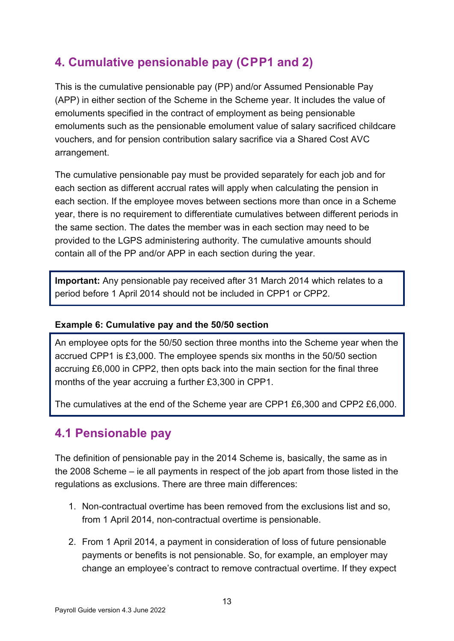# <span id="page-12-0"></span>**4. Cumulative pensionable pay (C P P1 and 2)**

This is the cumulative pensionable pay (PP) and/or Assumed Pensionable Pay (APP) in either section of the Scheme in the Scheme year. It includes the value of emoluments specified in the contract of employment as being pensionable emoluments such as the pensionable emolument value of salary sacrificed childcare vouchers, and for pension contribution salary sacrifice via a Shared Cost AVC arrangement.

The cumulative pensionable pay must be provided separately for each job and for each section as different accrual rates will apply when calculating the pension in each section. If the employee moves between sections more than once in a Scheme year, there is no requirement to differentiate cumulatives between different periods in the same section. The dates the member was in each section may need to be provided to the LGPS administering authority. The cumulative amounts should contain all of the PP and/or APP in each section during the year.

**Important:** Any pensionable pay received after 31 March 2014 which relates to a period before 1 April 2014 should not be included in CPP1 or CPP2.

#### **Example 6: Cumulative pay and the 50/50 section**

An employee opts for the 50/50 section three months into the Scheme year when the accrued CPP1 is £3,000. The employee spends six months in the 50/50 section accruing £6,000 in CPP2, then opts back into the main section for the final three months of the year accruing a further £3,300 in CPP1.

The cumulatives at the end of the Scheme year are CPP1 £6,300 and CPP2 £6,000.

# <span id="page-12-1"></span>**4.1 Pensionable pay**

The definition of pensionable pay in the 2014 Scheme is, basically, the same as in the 2008 Scheme – ie all payments in respect of the job apart from those listed in the regulations as exclusions. There are three main differences:

- 1. Non-contractual overtime has been removed from the exclusions list and so, from 1 April 2014, non-contractual overtime is pensionable.
- 2. From 1 April 2014, a payment in consideration of loss of future pensionable payments or benefits is not pensionable. So, for example, an employer may change an employee's contract to remove contractual overtime. If they expect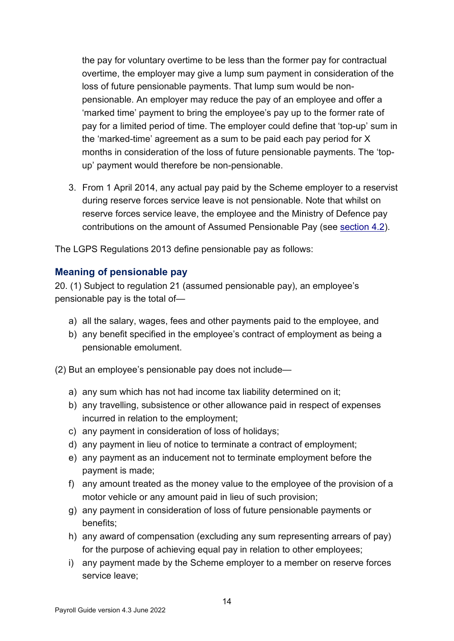the pay for voluntary overtime to be less than the former pay for contractual overtime, the employer may give a lump sum payment in consideration of the loss of future pensionable payments. That lump sum would be nonpensionable. An employer may reduce the pay of an employee and offer a 'marked time' payment to bring the employee's pay up to the former rate of pay for a limited period of time. The employer could define that 'top-up' sum in the 'marked-time' agreement as a sum to be paid each pay period for X months in consideration of the loss of future pensionable payments. The 'topup' payment would therefore be non-pensionable.

3. From 1 April 2014, any actual pay paid by the Scheme employer to a reservist during reserve forces service leave is not pensionable. Note that whilst on reserve forces service leave, the employee and the Ministry of Defence pay contributions on the amount of Assumed Pensionable Pay (see [section 4.2\)](#page-18-0).

The LGPS Regulations 2013 define pensionable pay as follows:

#### <span id="page-13-0"></span>**Meaning of pensionable pay**

20. (1) Subject to regulation 21 (assumed pensionable pay), an employee's pensionable pay is the total of—

- a) all the salary, wages, fees and other payments paid to the employee, and
- b) any benefit specified in the employee's contract of employment as being a pensionable emolument.

(2) But an employee's pensionable pay does not include—

- a) any sum which has not had income tax liability determined on it;
- b) any travelling, subsistence or other allowance paid in respect of expenses incurred in relation to the employment;
- c) any payment in consideration of loss of holidays;
- d) any payment in lieu of notice to terminate a contract of employment;
- e) any payment as an inducement not to terminate employment before the payment is made;
- f) any amount treated as the money value to the employee of the provision of a motor vehicle or any amount paid in lieu of such provision;
- g) any payment in consideration of loss of future pensionable payments or benefits;
- h) any award of compensation (excluding any sum representing arrears of pay) for the purpose of achieving equal pay in relation to other employees;
- i) any payment made by the Scheme employer to a member on reserve forces service leave;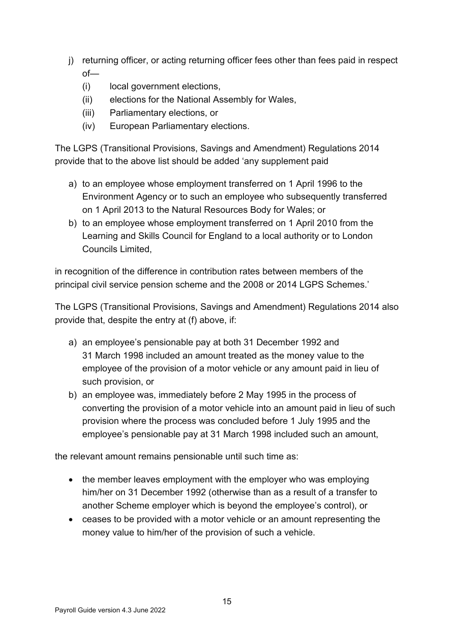- j) returning officer, or acting returning officer fees other than fees paid in respect of—
	- (i) local government elections,
	- (ii) elections for the National Assembly for Wales,
	- (iii) Parliamentary elections, or
	- (iv) European Parliamentary elections.

The LGPS (Transitional Provisions, Savings and Amendment) Regulations 2014 provide that to the above list should be added 'any supplement paid

- a) to an employee whose employment transferred on 1 April 1996 to the Environment Agency or to such an employee who subsequently transferred on 1 April 2013 to the Natural Resources Body for Wales; or
- b) to an employee whose employment transferred on 1 April 2010 from the Learning and Skills Council for England to a local authority or to London Councils Limited,

in recognition of the difference in contribution rates between members of the principal civil service pension scheme and the 2008 or 2014 LGPS Schemes.'

The LGPS (Transitional Provisions, Savings and Amendment) Regulations 2014 also provide that, despite the entry at (f) above, if:

- a) an employee's pensionable pay at both 31 December 1992 and 31 March 1998 included an amount treated as the money value to the employee of the provision of a motor vehicle or any amount paid in lieu of such provision, or
- b) an employee was, immediately before 2 May 1995 in the process of converting the provision of a motor vehicle into an amount paid in lieu of such provision where the process was concluded before 1 July 1995 and the employee's pensionable pay at 31 March 1998 included such an amount,

the relevant amount remains pensionable until such time as:

- the member leaves employment with the employer who was employing him/her on 31 December 1992 (otherwise than as a result of a transfer to another Scheme employer which is beyond the employee's control), or
- ceases to be provided with a motor vehicle or an amount representing the money value to him/her of the provision of such a vehicle.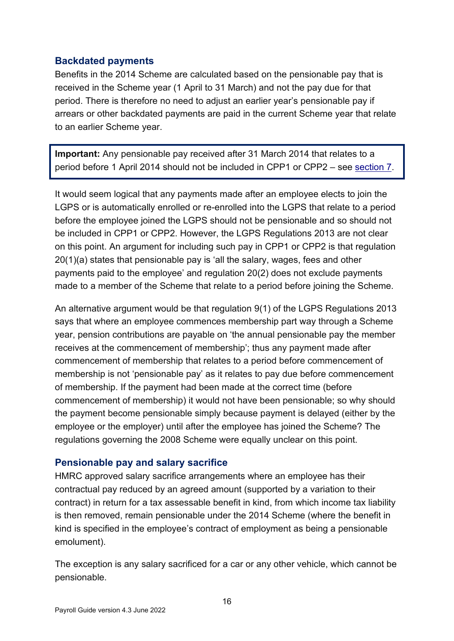### <span id="page-15-0"></span>**Backdated payments**

Benefits in the 2014 Scheme are calculated based on the pensionable pay that is received in the Scheme year (1 April to 31 March) and not the pay due for that period. There is therefore no need to adjust an earlier year's pensionable pay if arrears or other backdated payments are paid in the current Scheme year that relate to an earlier Scheme year.

**Important:** Any pensionable pay received after 31 March 2014 that relates to a period before 1 April 2014 should not be included in CPP1 or CPP2 – see [section 7.](#page-52-0)

It would seem logical that any payments made after an employee elects to join the LGPS or is automatically enrolled or re-enrolled into the LGPS that relate to a period before the employee joined the LGPS should not be pensionable and so should not be included in CPP1 or CPP2. However, the LGPS Regulations 2013 are not clear on this point. An argument for including such pay in CPP1 or CPP2 is that regulation 20(1)(a) states that pensionable pay is 'all the salary, wages, fees and other payments paid to the employee' and regulation 20(2) does not exclude payments made to a member of the Scheme that relate to a period before joining the Scheme.

An alternative argument would be that regulation  $9(1)$  of the LGPS Regulations 2013 says that where an employee commences membership part way through a Scheme year, pension contributions are payable on 'the annual pensionable pay the member receives at the commencement of membership'; thus any payment made after commencement of membership that relates to a period before commencement of membership is not 'pensionable pay' as it relates to pay due before commencement of membership. If the payment had been made at the correct time (before commencement of membership) it would not have been pensionable; so why should the payment become pensionable simply because payment is delayed (either by the employee or the employer) until after the employee has joined the Scheme? The regulations governing the 2008 Scheme were equally unclear on this point.

#### <span id="page-15-1"></span>**Pensionable pay and salary sacrifice**

HMRC approved salary sacrifice arrangements where an employee has their contractual pay reduced by an agreed amount (supported by a variation to their contract) in return for a tax assessable benefit in kind, from which income tax liability is then removed, remain pensionable under the 2014 Scheme (where the benefit in kind is specified in the employee's contract of employment as being a pensionable emolument).

The exception is any salary sacrificed for a car or any other vehicle, which cannot be pensionable.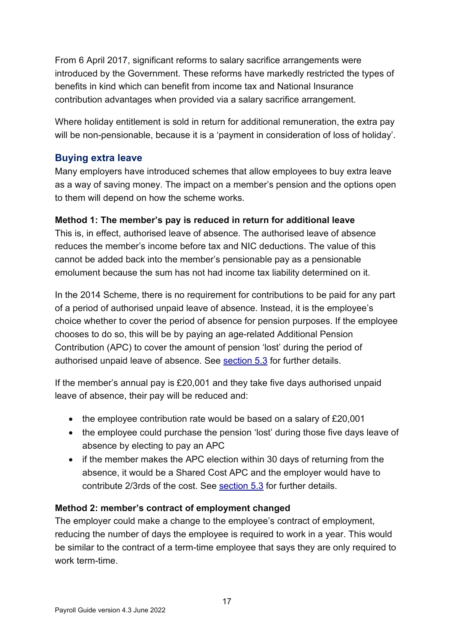From 6 April 2017, significant reforms to salary sacrifice arrangements were introduced by the Government. These reforms have markedly restricted the types of benefits in kind which can benefit from income tax and National Insurance contribution advantages when provided via a salary sacrifice arrangement.

Where holiday entitlement is sold in return for additional remuneration, the extra pay will be non-pensionable, because it is a 'payment in consideration of loss of holiday'.

#### <span id="page-16-0"></span>**Buying extra leave**

Many employers have introduced schemes that allow employees to buy extra leave as a way of saving money. The impact on a member's pension and the options open to them will depend on how the scheme works.

#### **Method 1: The member's pay is reduced in return for additional leave**

This is, in effect, authorised leave of absence. The authorised leave of absence reduces the member's income before tax and NIC deductions. The value of this cannot be added back into the member's pensionable pay as a pensionable emolument because the sum has not had income tax liability determined on it.

In the 2014 Scheme, there is no requirement for contributions to be paid for any part of a period of authorised unpaid leave of absence. Instead, it is the employee's choice whether to cover the period of absence for pension purposes. If the employee chooses to do so, this will be by paying an age-related Additional Pension Contribution (APC) to cover the amount of pension 'lost' during the period of authorised unpaid leave of absence. See [section 5.3](#page-34-2) for further details.

If the member's annual pay is £20,001 and they take five days authorised unpaid leave of absence, their pay will be reduced and:

- the employee contribution rate would be based on a salary of £20,001
- the employee could purchase the pension 'lost' during those five days leave of absence by electing to pay an APC
- if the member makes the APC election within 30 days of returning from the absence, it would be a Shared Cost APC and the employer would have to contribute 2/3rds of the cost. See [section 5.3](#page-34-2) for further details.

#### **Method 2: member's contract of employment changed**

The employer could make a change to the employee's contract of employment, reducing the number of days the employee is required to work in a year. This would be similar to the contract of a term-time employee that says they are only required to work term-time.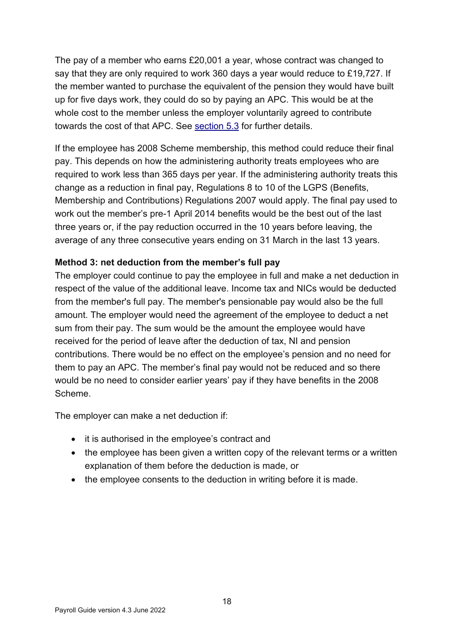The pay of a member who earns £20,001 a year, whose contract was changed to say that they are only required to work 360 days a year would reduce to £19,727. If the member wanted to purchase the equivalent of the pension they would have built up for five days work, they could do so by paying an APC. This would be at the whole cost to the member unless the employer voluntarily agreed to contribute towards the cost of that APC. See [section 5.3](#page-34-2) for further details.

If the employee has 2008 Scheme membership, this method could reduce their final pay. This depends on how the administering authority treats employees who are required to work less than 365 days per year. If the administering authority treats this change as a reduction in final pay, Regulations 8 to 10 of the LGPS (Benefits, Membership and Contributions) Regulations 2007 would apply. The final pay used to work out the member's pre-1 April 2014 benefits would be the best out of the last three years or, if the pay reduction occurred in the 10 years before leaving, the average of any three consecutive years ending on 31 March in the last 13 years.

#### **Method 3: net deduction from the member's full pay**

The employer could continue to pay the employee in full and make a net deduction in respect of the value of the additional leave. Income tax and NICs would be deducted from the member's full pay. The member's pensionable pay would also be the full amount. The employer would need the agreement of the employee to deduct a net sum from their pay. The sum would be the amount the employee would have received for the period of leave after the deduction of tax, NI and pension contributions. There would be no effect on the employee's pension and no need for them to pay an APC. The member's final pay would not be reduced and so there would be no need to consider earlier years' pay if they have benefits in the 2008 Scheme.

The employer can make a net deduction if:

- it is authorised in the employee's contract and
- the employee has been given a written copy of the relevant terms or a written explanation of them before the deduction is made, or
- the employee consents to the deduction in writing before it is made.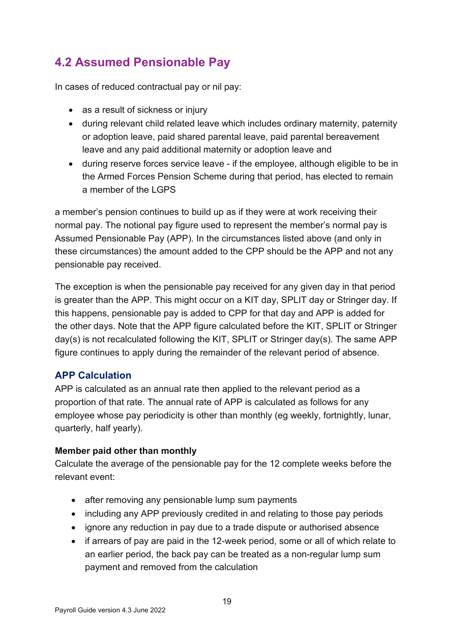# <span id="page-18-0"></span>**4.2 Assumed Pensionable Pay**

In cases of reduced contractual pay or nil pay:

- as a result of sickness or injury
- during relevant child related leave which includes ordinary maternity, paternity or adoption leave, paid shared parental leave, paid parental bereavement leave and any paid additional maternity or adoption leave and
- during reserve forces service leave if the employee, although eligible to be in the Armed Forces Pension Scheme during that period, has elected to remain a member of the LGPS

a member's pension continues to build up as if they were at work receiving their normal pay. The notional pay figure used to represent the member's normal pay is Assumed Pensionable Pay (APP). In the circumstances listed above (and only in these circumstances) the amount added to the CPP should be the APP and not any pensionable pay received.

The exception is when the pensionable pay received for any given day in that period is greater than the APP. This might occur on a KIT day, SPLIT day or Stringer day. If this happens, pensionable pay is added to CPP for that day and APP is added for the other days. Note that the APP figure calculated before the KIT, SPLIT or Stringer day(s) is not recalculated following the KIT, SPLIT or Stringer day(s). The same APP figure continues to apply during the remainder of the relevant period of absence.

# <span id="page-18-1"></span>**APP Calculation**

APP is calculated as an annual rate then applied to the relevant period as a proportion of that rate. The annual rate of APP is calculated as follows for any employee whose pay periodicity is other than monthly (eg weekly, fortnightly, lunar, quarterly, half yearly).

### **Member paid other than monthly**

Calculate the average of the pensionable pay for the 12 complete weeks before the relevant event:

- after removing any pensionable lump sum payments
- including any APP previously credited in and relating to those pay periods
- ignore any reduction in pay due to a trade dispute or authorised absence
- if arrears of pay are paid in the 12-week period, some or all of which relate to an earlier period, the back pay can be treated as a non-regular lump sum payment and removed from the calculation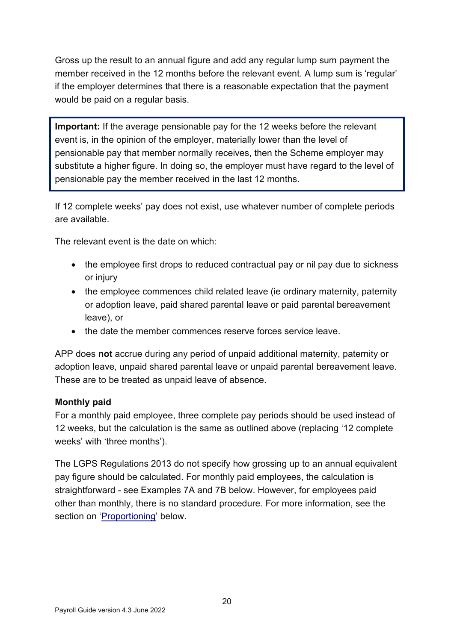Gross up the result to an annual figure and add any regular lump sum payment the member received in the 12 months before the relevant event. A lump sum is 'regular' if the employer determines that there is a reasonable expectation that the payment would be paid on a regular basis.

**Important:** If the average pensionable pay for the 12 weeks before the relevant event is, in the opinion of the employer, materially lower than the level of pensionable pay that member normally receives, then the Scheme employer may substitute a higher figure. In doing so, the employer must have regard to the level of pensionable pay the member received in the last 12 months.

If 12 complete weeks' pay does not exist, use whatever number of complete periods are available.

The relevant event is the date on which:

- the employee first drops to reduced contractual pay or nil pay due to sickness or injury
- the employee commences child related leave (ie ordinary maternity, paternity or adoption leave, paid shared parental leave or paid parental bereavement leave), or
- the date the member commences reserve forces service leave.

APP does **not** accrue during any period of unpaid additional maternity, paternity or adoption leave, unpaid shared parental leave or unpaid parental bereavement leave. These are to be treated as unpaid leave of absence.

#### **Monthly paid**

For a monthly paid employee, three complete pay periods should be used instead of 12 weeks, but the calculation is the same as outlined above (replacing '12 complete weeks' with 'three months').

The LGPS Regulations 2013 do not specify how grossing up to an annual equivalent pay figure should be calculated. For monthly paid employees, the calculation is straightforward - see Examples 7A and 7B below. However, for employees paid other than monthly, there is no standard procedure. For more information, see the section on ['Proportioning'](#page-21-1) below.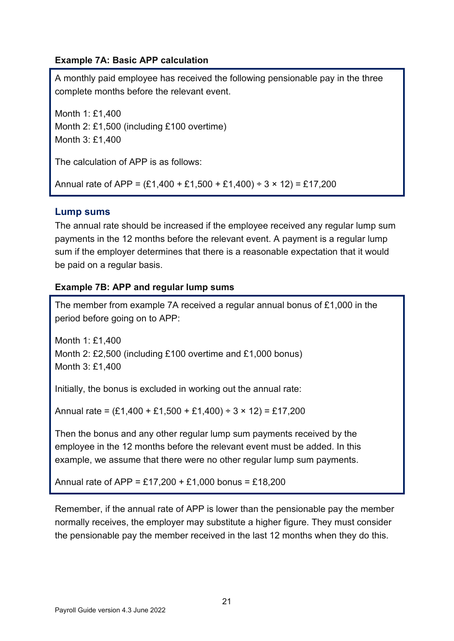#### **Example 7A: Basic APP calculation**

A monthly paid employee has received the following pensionable pay in the three complete months before the relevant event.

Month 1: £1,400 Month 2: £1,500 (including £100 overtime) Month 3: £1,400

The calculation of APP is as follows:

Annual rate of APP =  $(E1.400 + E1.500 + E1.400) \div 3 \times 12$  = £17.200

### <span id="page-20-0"></span>**Lump sums**

The annual rate should be increased if the employee received any regular lump sum payments in the 12 months before the relevant event. A payment is a regular lump sum if the employer determines that there is a reasonable expectation that it would be paid on a regular basis.

#### <span id="page-20-1"></span>**Example 7B: APP and regular lump sums**

The member from example 7A received a regular annual bonus of £1,000 in the period before going on to APP:

Month 1: £1,400 Month 2: £2,500 (including £100 overtime and £1,000 bonus) Month 3: £1,400

Initially, the bonus is excluded in working out the annual rate:

Annual rate =  $(E1,400 + E1,500 + E1,400) \div 3 \times 12$  = £17,200

Then the bonus and any other regular lump sum payments received by the employee in the 12 months before the relevant event must be added. In this example, we assume that there were no other regular lump sum payments.

Annual rate of APP = £17,200 + £1,000 bonus = £18,200

Remember, if the annual rate of APP is lower than the pensionable pay the member normally receives, the employer may substitute a higher figure. They must consider the pensionable pay the member received in the last 12 months when they do this.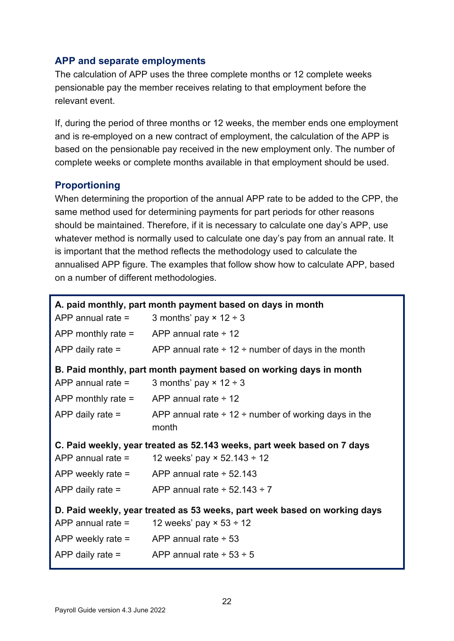#### <span id="page-21-0"></span>**APP and separate employments**

The calculation of APP uses the three complete months or 12 complete weeks pensionable pay the member receives relating to that employment before the relevant event.

If, during the period of three months or 12 weeks, the member ends one employment and is re-employed on a new contract of employment, the calculation of the APP is based on the pensionable pay received in the new employment only. The number of complete weeks or complete months available in that employment should be used.

### <span id="page-21-1"></span>**Proportioning**

When determining the proportion of the annual APP rate to be added to the CPP, the same method used for determining payments for part periods for other reasons should be maintained. Therefore, if it is necessary to calculate one day's APP, use whatever method is normally used to calculate one day's pay from an annual rate. It is important that the method reflects the methodology used to calculate the annualised APP figure. The examples that follow show how to calculate APP, based on a number of different methodologies.

```
A. paid monthly, part month payment based on days in month
APP annual rate = \qquad 3 months' pay \times 12 ÷ 3
APP monthly rate = \overline{APP} annual rate \div 12
APP daily rate = APP annual rate \div 12 \div number of days in the month
B. Paid monthly, part month payment based on working days in month
APP annual rate = \qquad 3 months' pay \times 12 ÷ 3
APP monthly rate = APP annual rate \div 12
APP daily rate = APP annual rate \div 12 \div number of working days in the
                       month
C. Paid weekly, year treated as 52.143 weeks, part week based on 7 days
APP annual rate = 12 weeks' pay \times 52.143 ÷ 12
APP weekly rate = \angle APP annual rate \div 52.143
APP daily rate = APP annual rate \div 52.143 \div 7
D. Paid weekly, year treated as 53 weeks, part week based on working days
APP annual rate = 12 weeks' pay \times 53 ÷ 12
APP weekly rate = APP annual rate \div 53
APP daily rate = \angle APP annual rate \div 53 \div 5
```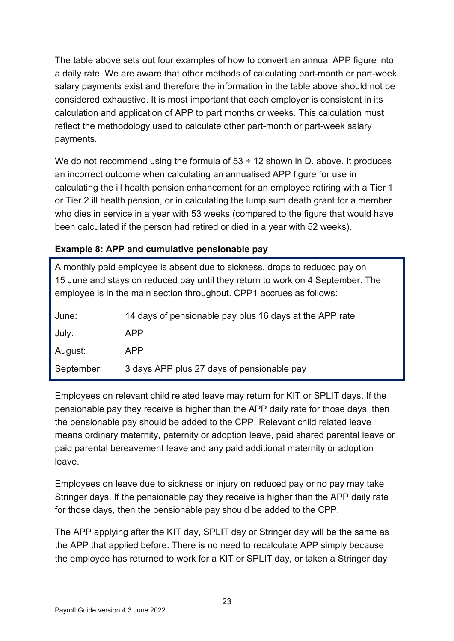The table above sets out four examples of how to convert an annual APP figure into a daily rate. We are aware that other methods of calculating part-month or part-week salary payments exist and therefore the information in the table above should not be considered exhaustive. It is most important that each employer is consistent in its calculation and application of APP to part months or weeks. This calculation must reflect the methodology used to calculate other part-month or part-week salary payments.

We do not recommend using the formula of  $53 \div 12$  shown in D. above. It produces an incorrect outcome when calculating an annualised APP figure for use in calculating the ill health pension enhancement for an employee retiring with a Tier 1 or Tier 2 ill health pension, or in calculating the lump sum death grant for a member who dies in service in a year with 53 weeks (compared to the figure that would have been calculated if the person had retired or died in a year with 52 weeks).

#### **Example 8: APP and cumulative pensionable pay**

| A monthly paid employee is absent due to sickness, drops to reduced pay on<br>15 June and stays on reduced pay until they return to work on 4 September. The<br>employee is in the main section throughout. CPP1 accrues as follows: |                                                         |  |
|--------------------------------------------------------------------------------------------------------------------------------------------------------------------------------------------------------------------------------------|---------------------------------------------------------|--|
| June:                                                                                                                                                                                                                                | 14 days of pensionable pay plus 16 days at the APP rate |  |
| July:                                                                                                                                                                                                                                | <b>APP</b>                                              |  |
| August:                                                                                                                                                                                                                              | <b>APP</b>                                              |  |
| September:                                                                                                                                                                                                                           | 3 days APP plus 27 days of pensionable pay              |  |

Employees on relevant child related leave may return for KIT or SPLIT days. If the pensionable pay they receive is higher than the APP daily rate for those days, then the pensionable pay should be added to the CPP. Relevant child related leave means ordinary maternity, paternity or adoption leave, paid shared parental leave or paid parental bereavement leave and any paid additional maternity or adoption leave.

Employees on leave due to sickness or injury on reduced pay or no pay may take Stringer days. If the pensionable pay they receive is higher than the APP daily rate for those days, then the pensionable pay should be added to the CPP.

The APP applying after the KIT day, SPLIT day or Stringer day will be the same as the APP that applied before. There is no need to recalculate APP simply because the employee has returned to work for a KIT or SPLIT day, or taken a Stringer day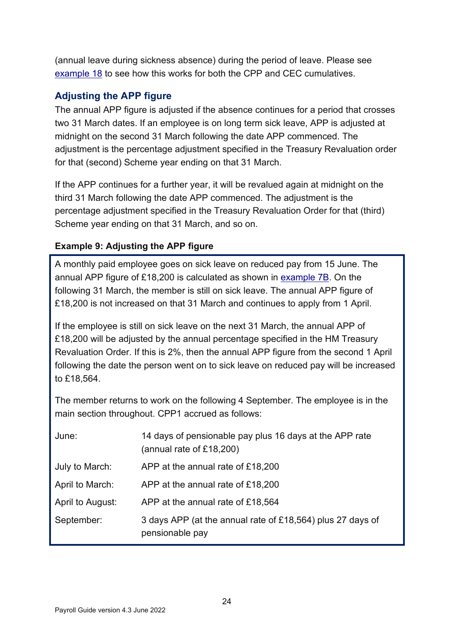(annual leave during sickness absence) during the period of leave. Please see [example 18](#page-32-0) to see how this works for both the CPP and CEC cumulatives.

# <span id="page-23-0"></span>**Adjusting the APP figure**

The annual APP figure is adjusted if the absence continues for a period that crosses two 31 March dates. If an employee is on long term sick leave, APP is adjusted at midnight on the second 31 March following the date APP commenced. The adjustment is the percentage adjustment specified in the Treasury Revaluation order for that (second) Scheme year ending on that 31 March.

If the APP continues for a further year, it will be revalued again at midnight on the third 31 March following the date APP commenced. The adjustment is the percentage adjustment specified in the Treasury Revaluation Order for that (third) Scheme year ending on that 31 March, and so on.

# **Example 9: Adjusting the APP figure**

A monthly paid employee goes on sick leave on reduced pay from 15 June. The annual APP figure of  $£18,200$  is calculated as shown in [example 7B.](#page-20-1) On the following 31 March, the member is still on sick leave. The annual APP figure of £18,200 is not increased on that 31 March and continues to apply from 1 April.

If the employee is still on sick leave on the next 31 March, the annual APP of £18,200 will be adjusted by the annual percentage specified in the HM Treasury Revaluation Order. If this is 2%, then the annual APP figure from the second 1 April following the date the person went on to sick leave on reduced pay will be increased to £18,564.

The member returns to work on the following 4 September. The employee is in the main section throughout. CPP1 accrued as follows:

| June:            | 14 days of pensionable pay plus 16 days at the APP rate<br>(annual rate of £18,200) |
|------------------|-------------------------------------------------------------------------------------|
| July to March:   | APP at the annual rate of £18,200                                                   |
| April to March:  | APP at the annual rate of £18,200                                                   |
| April to August: | APP at the annual rate of £18,564                                                   |
| September:       | 3 days APP (at the annual rate of £18,564) plus 27 days of<br>pensionable pay       |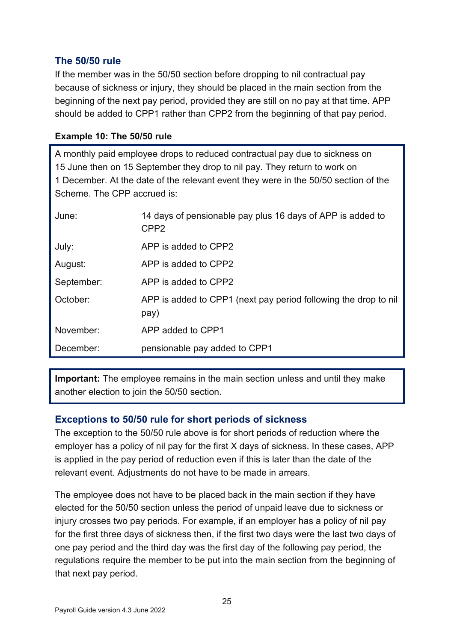# <span id="page-24-0"></span>**The 50/50 rule**

If the member was in the 50/50 section before dropping to nil contractual pay because of sickness or injury, they should be placed in the main section from the beginning of the next pay period, provided they are still on no pay at that time. APP should be added to CPP1 rather than CPP2 from the beginning of that pay period.

#### **Example 10: The 50/50 rule**

A monthly paid employee drops to reduced contractual pay due to sickness on 15 June then on 15 September they drop to nil pay. They return to work on 1 December. At the date of the relevant event they were in the 50/50 section of the Scheme. The CPP accrued is:

| June:      | 14 days of pensionable pay plus 16 days of APP is added to<br>CPP <sub>2</sub> |
|------------|--------------------------------------------------------------------------------|
| July:      | APP is added to CPP2                                                           |
| August:    | APP is added to CPP2                                                           |
| September: | APP is added to CPP2                                                           |
| October:   | APP is added to CPP1 (next pay period following the drop to nil<br>pay)        |
| November:  | APP added to CPP1                                                              |
| December:  | pensionable pay added to CPP1                                                  |

**Important:** The employee remains in the main section unless and until they make another election to join the 50/50 section.

### <span id="page-24-1"></span>**Exceptions to 50/50 rule for short periods of sickness**

The exception to the 50/50 rule above is for short periods of reduction where the employer has a policy of nil pay for the first  $X$  days of sickness. In these cases, APP is applied in the pay period of reduction even if this is later than the date of the relevant event. Adjustments do not have to be made in arrears.

The employee does not have to be placed back in the main section if they have elected for the 50/50 section unless the period of unpaid leave due to sickness or injury crosses two pay periods. For example, if an employer has a policy of nil pay for the first three days of sickness then, if the first two days were the last two days of one pay period and the third day was the first day of the following pay period, the regulations require the member to be put into the main section from the beginning of that next pay period.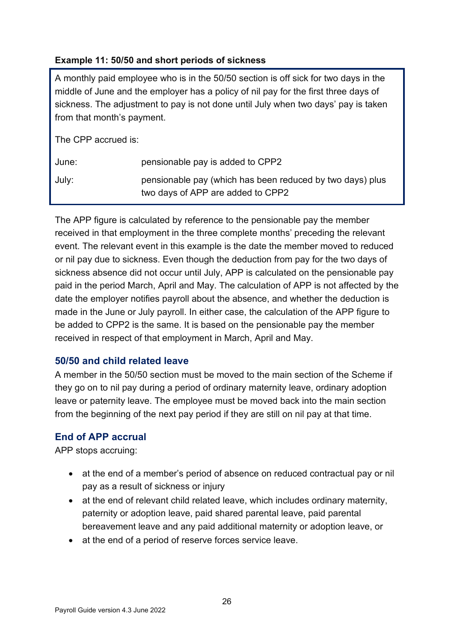#### **Example 11: 50/50 and short periods of sickness**

A monthly paid employee who is in the 50/50 section is off sick for two days in the middle of June and the employer has a policy of nil pay for the first three days of sickness. The adjustment to pay is not done until July when two days' pay is taken from that month's payment.

The CPP accrued is:

| June: | pensionable pay is added to CPP2                                                               |
|-------|------------------------------------------------------------------------------------------------|
| July: | pensionable pay (which has been reduced by two days) plus<br>two days of APP are added to CPP2 |

The APP figure is calculated by reference to the pensionable pay the member received in that employment in the three complete months' preceding the relevant event. The relevant event in this example is the date the member moved to reduced or nil pay due to sickness. Even though the deduction from pay for the two days of sickness absence did not occur until July, APP is calculated on the pensionable pay paid in the period March, April and May. The calculation of APP is not affected by the date the employer notifies payroll about the absence, and whether the deduction is made in the June or July payroll. In either case, the calculation of the APP figure to be added to CPP2 is the same. It is based on the pensionable pay the member received in respect of that employment in March, April and May.

### <span id="page-25-0"></span>**50/50 and child related leave**

A member in the 50/50 section must be moved to the main section of the Scheme if they go on to nil pay during a period of ordinary maternity leave, ordinary adoption leave or paternity leave. The employee must be moved back into the main section from the beginning of the next pay period if they are still on nil pay at that time.

### <span id="page-25-1"></span>**End of APP accrual**

APP stops accruing:

- at the end of a member's period of absence on reduced contractual pay or nil pay as a result of sickness or injury
- at the end of relevant child related leave, which includes ordinary maternity, paternity or adoption leave, paid shared parental leave, paid parental bereavement leave and any paid additional maternity or adoption leave, or
- at the end of a period of reserve forces service leave.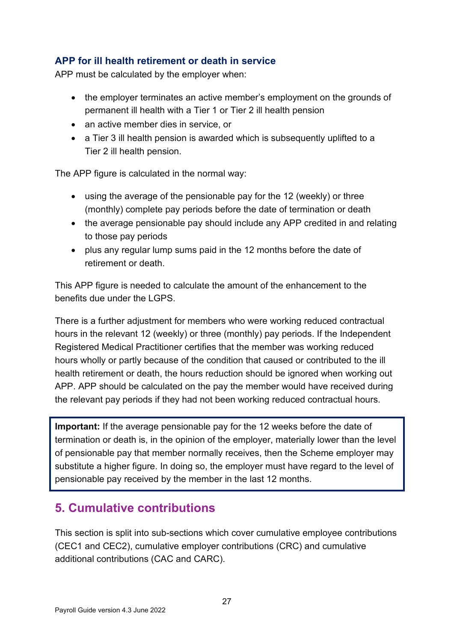# <span id="page-26-0"></span>**A P P for ill health retirement or death in service**

APP must be calculated by the employer when:

- the employer terminates an active member's employment on the grounds of permanent ill health with a Tier 1 or Tier 2 ill health pension
- an active member dies in service, or
- a Tier 3 ill health pension is awarded which is subsequently uplifted to a Tier 2 ill health pension.

The APP figure is calculated in the normal way:

- using the average of the pensionable pay for the 12 (weekly) or three (monthly) complete pay periods before the date of termination or death
- the average pensionable pay should include any APP credited in and relating to those pay periods
- plus any regular lump sums paid in the 12 months before the date of retirement or death.

This APP figure is needed to calculate the amount of the enhancement to the benefits due under the LGPS.

There is a further adjustment for members who were working reduced contractual hours in the relevant 12 (weekly) or three (monthly) pay periods. If the Independent Registered Medical Practitioner certifies that the member was working reduced hours wholly or partly because of the condition that caused or contributed to the ill health retirement or death, the hours reduction should be ignored when working out APP. APP should be calculated on the pay the member would have received during the relevant pay periods if they had not been working reduced contractual hours.

**Important:** If the average pensionable pay for the 12 weeks before the date of termination or death is, in the opinion of the employer, materially lower than the level of pensionable pay that member normally receives, then the Scheme employer may substitute a higher figure. In doing so, the employer must have regard to the level of pensionable pay received by the member in the last 12 months.

# <span id="page-26-1"></span>**5. Cumulative contributions**

This section is split into sub-sections which cover cumulative employee contributions (CEC1 and CEC2), cumulative employer contributions (CRC) and cumulative additional contributions (CAC and CARC).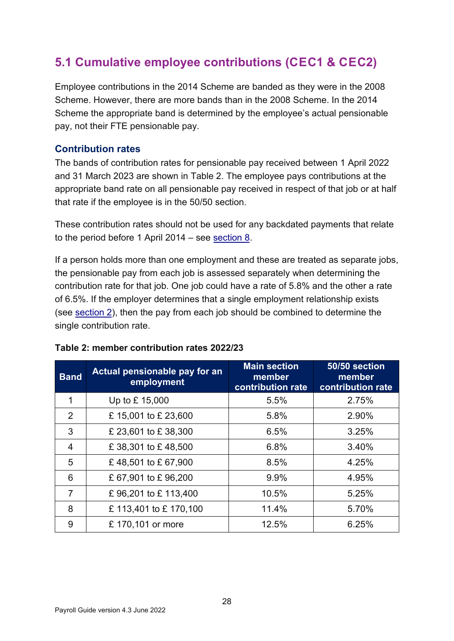# <span id="page-27-0"></span>**5.1 Cumulative employee contributions (CEC1 & CEC2)**

Employee contributions in the 2014 Scheme are banded as they were in the 2008 Scheme. However, there are more bands than in the 2008 Scheme. In the 2014 Scheme the appropriate band is determined by the employee's actual pensionable pay, not their FTE pensionable pay.

#### <span id="page-27-1"></span>**Contribution rates**

The bands of contribution rates for pensionable pay received between 1 April 2022 and 31 March 2023 are shown in Table 2. The employee pays contributions at the appropriate band rate on all pensionable pay received in respect of that job or at half that rate if the employee is in the 50/50 section.

These contribution rates should not be used for any backdated payments that relate to the period before 1 April 2014 – see [section 8.](#page-52-1)

If a person holds more than one employment and these are treated as separate jobs, the pensionable pay from each job is assessed separately when determining the contribution rate for that job. One job could have a rate of 5.8% and the other a rate of 6.5%. If the employer determines that a single employment relationship exists (se[e section 2\),](#page-6-0) then the pay from each job should be combined to determine the single contribution rate.

| <b>Band</b>    | Actual pensionable pay for an<br>employment | <b>Main section</b><br>member<br>contribution rate | 50/50 section<br>member<br>contribution rate |
|----------------|---------------------------------------------|----------------------------------------------------|----------------------------------------------|
| 1              | Up to £15,000                               | 5.5%                                               | 2.75%                                        |
| 2              | £15,001 to £23,600                          | 5.8%                                               | 2.90%                                        |
| 3              | £ 23,601 to £ 38,300                        | 6.5%                                               | 3.25%                                        |
| $\overline{4}$ | £38,301 to £48,500                          | 6.8%                                               | 3.40%                                        |
| 5              | £48,501 to £67,900                          | 8.5%                                               | 4.25%                                        |
| 6              | £67,901 to £96,200                          | 9.9%                                               | 4.95%                                        |
| $\overline{7}$ | £96,201 to £113,400                         | 10.5%                                              | 5.25%                                        |
| 8              | £113,401 to £170,100                        | 11.4%                                              | 5.70%                                        |
| 9              | £ 170,101 or more                           | 12.5%                                              | 6.25%                                        |

#### **Table 2: member contribution rates 2022/23**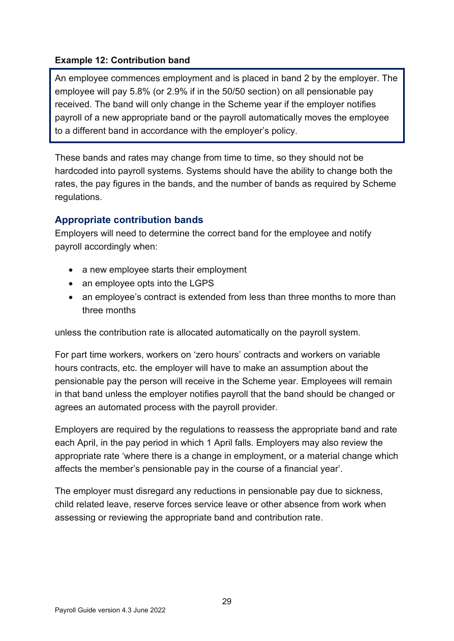### **Example 12: Contribution band**

An employee commences employment and is placed in band 2 by the employer. The employee will pay 5.8% (or 2.9% if in the 50/50 section) on all pensionable pay received. The band will only change in the Scheme year if the employer notifies payroll of a new appropriate band or the payroll automatically moves the employee to a different band in accordance with the employer's policy.

These bands and rates may change from time to time, so they should not be hardcoded into payroll systems. Systems should have the ability to change both the rates, the pay figures in the bands, and the number of bands as required by Scheme regulations.

### <span id="page-28-0"></span>**Appropriate contribution bands**

Employers will need to determine the correct band for the employee and notify payroll accordingly when:

- a new employee starts their employment
- an employee opts into the LGPS
- an employee's contract is extended from less than three months to more than three months

unless the contribution rate is allocated automatically on the payroll system.

For part time workers, workers on 'zero hours' contracts and workers on variable hours contracts, etc. the employer will have to make an assumption about the pensionable pay the person will receive in the Scheme year. Employees will remain in that band unless the employer notifies payroll that the band should be changed or agrees an automated process with the payroll provider.

Employers are required by the regulations to reassess the appropriate band and rate each April, in the pay period in which 1 April falls. Employers may also review the appropriate rate 'where there is a change in employment, or a material change which affects the member's pensionable pay in the course of a financial year'.

The employer must disregard any reductions in pensionable pay due to sickness, child related leave, reserve forces service leave or other absence from work when assessing or reviewing the appropriate band and contribution rate.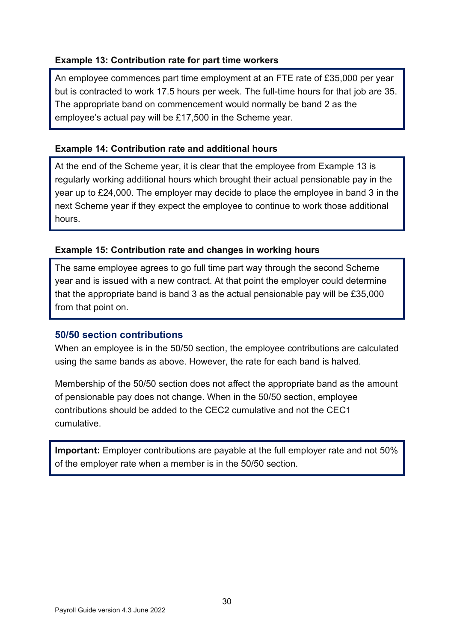#### **Example 13: Contribution rate for part time workers**

An employee commences part time employment at an FTE rate of £35,000 per year but is contracted to work 17.5 hours per week. The full-time hours for that job are 35. The appropriate band on commencement would normally be band 2 as the employee's actual pay will be £17,500 in the Scheme year.

#### **Example 14: Contribution rate and additional hours**

At the end of the Scheme year, it is clear that the employee from Example 13 is regularly working additional hours which brought their actual pensionable pay in the year up to £24,000. The employer may decide to place the employee in band 3 in the next Scheme year if they expect the employee to continue to work those additional hours.

#### **Example 15: Contribution rate and changes in working hours**

The same employee agrees to go full time part way through the second Scheme year and is issued with a new contract. At that point the employer could determine that the appropriate band is band 3 as the actual pensionable pay will be £35,000 from that point on.

#### <span id="page-29-0"></span>**50/50 section contributions**

When an employee is in the 50/50 section, the employee contributions are calculated using the same bands as above. However, the rate for each band is halved.

Membership of the 50/50 section does not affect the appropriate band as the amount of pensionable pay does not change. When in the 50/50 section, employee contributions should be added to the CEC2 cumulative and not the CEC1 cumulative.

**Important:** Employer contributions are payable at the full employer rate and not 50% of the employer rate when a member is in the 50/50 section.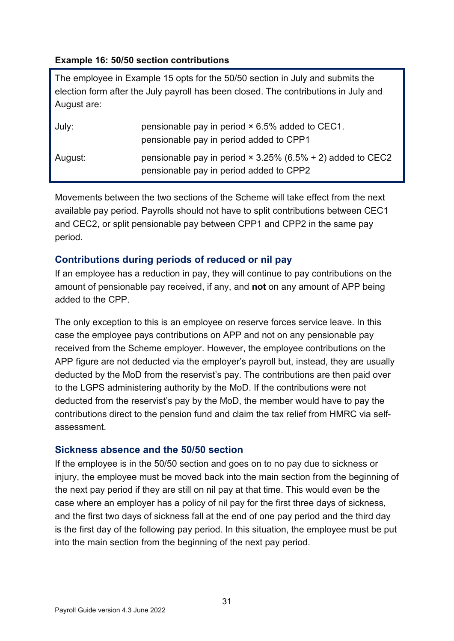#### **Example 16: 50/50 section contributions**

The employee in Example 15 opts for the 50/50 section in July and submits the election form after the July payroll has been closed. The contributions in July and August are:

| July:   | pensionable pay in period × 6.5% added to CEC1.<br>pensionable pay in period added to CPP1                   |
|---------|--------------------------------------------------------------------------------------------------------------|
| August: | pensionable pay in period $\times$ 3.25% (6.5% ÷ 2) added to CEC2<br>pensionable pay in period added to CPP2 |

Movements between the two sections of the Scheme will take effect from the next available pay period. Payrolls should not have to split contributions between CEC1 and CEC2, or split pensionable pay between CPP1 and CPP2 in the same pay period.

### <span id="page-30-0"></span>**Contributions during periods of reduced or nil pay**

If an employee has a reduction in pay, they will continue to pay contributions on the amount of pensionable pay received, if any, and **not** on any amount of APP being added to the CPP.

The only exception to this is an employee on reserve forces service leave. In this case the employee pays contributions on APP and not on any pensionable pay received from the Scheme employer. However, the employee contributions on the APP figure are not deducted via the employer's payroll but, instead, they are usually deducted by the MoD from the reservist's pay. The contributions are then paid over to the LGPS administering authority by the MoD. If the contributions were not deducted from the reservist's pay by the MoD, the member would have to pay the contributions direct to the pension fund and claim the tax relief from HMRC via selfassessment.

### <span id="page-30-1"></span>**Sickness absence and the 50/50 section**

If the employee is in the 50/50 section and goes on to no pay due to sickness or injury, the employee must be moved back into the main section from the beginning of the next pay period if they are still on nil pay at that time. This would even be the case where an employer has a policy of nil pay for the first three days of sickness, and the first two days of sickness fall at the end of one pay period and the third day is the first day of the following pay period. In this situation, the employee must be put into the main section from the beginning of the next pay period.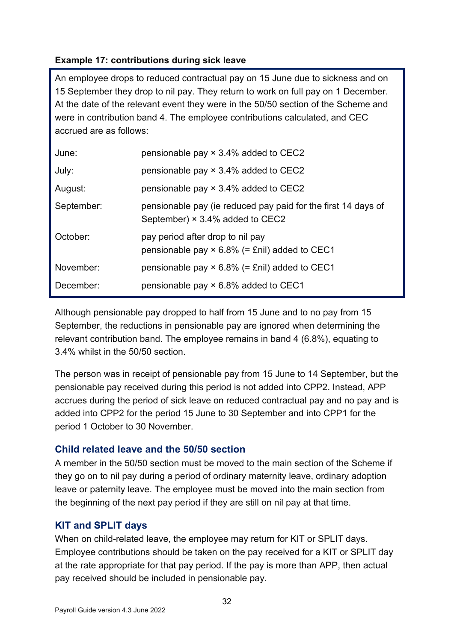# **Example 17: contributions during sick leave**

An employee drops to reduced contractual pay on 15 June due to sickness and on 15 September they drop to nil pay. They return to work on full pay on 1 December. At the date of the relevant event they were in the 50/50 section of the Scheme and were in contribution band 4. The employee contributions calculated, and CEC accrued are as follows:

| June:      | pensionable pay × 3.4% added to CEC2                                                                    |
|------------|---------------------------------------------------------------------------------------------------------|
| July:      | pensionable pay $\times$ 3.4% added to CEC2                                                             |
| August:    | pensionable pay $\times$ 3.4% added to CEC2                                                             |
| September: | pensionable pay (ie reduced pay paid for the first 14 days of<br>September) $\times$ 3.4% added to CEC2 |
| October:   | pay period after drop to nil pay<br>pensionable pay $\times$ 6.8% (= £nil) added to CEC1                |
| November:  | pensionable pay $\times$ 6.8% (= £nil) added to CEC1                                                    |
| December:  | pensionable pay × 6.8% added to CEC1                                                                    |

Although pensionable pay dropped to half from 15 June and to no pay from 15 September, the reductions in pensionable pay are ignored when determining the relevant contribution band. The employee remains in band 4 (6.8%), equating to 3.4% whilst in the 50/50 section.

The person was in receipt of pensionable pay from 15 June to 14 September, but the pensionable pay received during this period is not added into CPP2. Instead, APP accrues during the period of sick leave on reduced contractual pay and no pay and is added into CPP2 for the period 15 June to 30 September and into CPP1 for the period 1 October to 30 November.

### <span id="page-31-0"></span>**Child related leave and the 50/50 section**

A member in the 50/50 section must be moved to the main section of the Scheme if they go on to nil pay during a period of ordinary maternity leave, ordinary adoption leave or paternity leave. The employee must be moved into the main section from the beginning of the next pay period if they are still on nil pay at that time.

# <span id="page-31-1"></span>**KIT and SPLIT days**

When on child-related leave, the employee may return for KIT or SPLIT days. Employee contributions should be taken on the pay received for a KIT or SPLIT day at the rate appropriate for that pay period. If the pay is more than APP, then actual pay received should be included in pensionable pay.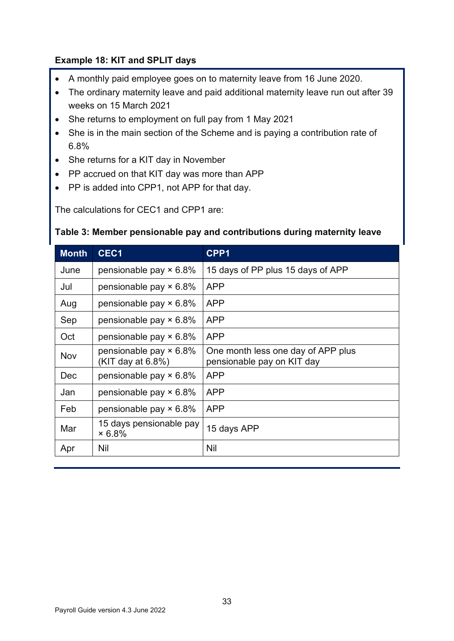#### <span id="page-32-0"></span>**Example 18: KIT and SPLIT days**

- A monthly paid employee goes on to maternity leave from 16 June 2020.
- The ordinary maternity leave and paid additional maternity leave run out after 39 weeks on 15 March 2021
- She returns to employment on full pay from 1 May 2021
- She is in the main section of the Scheme and is paying a contribution rate of 6.8%
- She returns for a KIT day in November
- PP accrued on that KIT day was more than APP
- PP is added into CPP1, not APP for that day.

The calculations for CEC1 and CPP1 are:

#### **Table 3: Member pensionable pay and contributions during maternity leave**

| <b>Month</b> | CEC <sub>1</sub>                                   | CPP1                                                             |
|--------------|----------------------------------------------------|------------------------------------------------------------------|
| June         | pensionable pay × 6.8%                             | 15 days of PP plus 15 days of APP                                |
| Jul          | pensionable pay $\times$ 6.8%                      | <b>APP</b>                                                       |
| Aug          | pensionable pay $\times$ 6.8%                      | <b>APP</b>                                                       |
| Sep          | pensionable pay $\times$ 6.8%                      | <b>APP</b>                                                       |
| Oct          | pensionable pay $\times$ 6.8%                      | <b>APP</b>                                                       |
| Nov          | pensionable pay $\times$ 6.8%<br>(KIT day at 6.8%) | One month less one day of APP plus<br>pensionable pay on KIT day |
| Dec          | pensionable pay $\times$ 6.8%                      | <b>APP</b>                                                       |
| Jan          | pensionable pay $\times$ 6.8%                      | <b>APP</b>                                                       |
| Feb          | pensionable pay $\times$ 6.8%                      | <b>APP</b>                                                       |
| Mar          | 15 days pensionable pay<br>$\times 6.8\%$          | 15 days APP                                                      |
| Apr          | <b>Nil</b>                                         | Nil                                                              |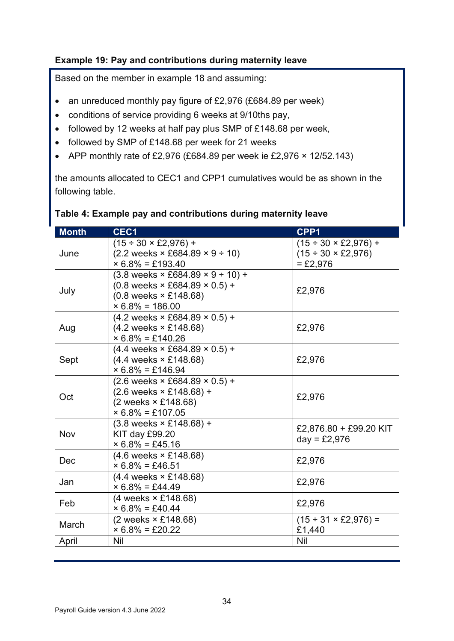### **Example 19: Pay and contributions during maternity leave**

Based on the member in example 18 and assuming:

- an unreduced monthly pay figure of £2,976 (£684.89 per week)
- conditions of service providing 6 weeks at 9/10ths pay,
- followed by 12 weeks at half pay plus SMP of £148.68 per week,
- followed by SMP of £148.68 per week for 21 weeks
- APP monthly rate of £2,976 (£684.89 per week ie £2,976  $\times$  12/52.143)

the amounts allocated to CEC1 and CPP1 cumulatives would be as shown in the following table.

| <b>Month</b> | CEC1                                                                                                                                                                                                | CPP1                                                                                     |
|--------------|-----------------------------------------------------------------------------------------------------------------------------------------------------------------------------------------------------|------------------------------------------------------------------------------------------|
| June         | $(15 \div 30 \times \text{\pounds}2,976) +$<br>$(2.2 \text{ weeks} \times \text{\pounds}684.89 \times 9 \div 10)$                                                                                   | $(15 \div 30 \times \text{\pounds}2,976) +$<br>$(15 \div 30 \times \text{\pounds}2,976)$ |
|              | $\times$ 6.8% = £193.40                                                                                                                                                                             | $= £2,976$                                                                               |
| July         | $(3.8 \text{ weeks} \times \text{\pounds}684.89 \times 9 \div 10) +$<br>$(0.8 \text{ weeks} \times \text{\pounds}684.89 \times 0.5) +$<br>$(0.8 \text{ weeks} \times £148.68)$<br>$× 6.8% = 186.00$ | £2,976                                                                                   |
| Aug          | $(4.2 \text{ weeks} \times \text{\pounds}684.89 \times 0.5) +$<br>$(4.2 \text{ weeks} \times £148.68)$<br>$\times$ 6.8% = £140.26                                                                   | £2,976                                                                                   |
| Sept         | $(4.4$ weeks $\times$ £684.89 $\times$ 0.5) +<br>(4.4 weeks × £148.68)<br>$\times$ 6.8% = £146.94                                                                                                   | £2,976                                                                                   |
| Oct          | $(2.6 \text{ weeks} \times \text{\pounds}684.89 \times 0.5) +$<br>$(2.6 \text{ weeks} \times \text{\pounds}148.68) +$<br>(2 weeks × £148.68)<br>$\times$ 6.8% = £107.05                             | £2,976                                                                                   |
| Nov          | $(3.8 \text{ weeks} \times \text{\pounds}148.68) +$<br>KIT day £99.20<br>$× 6.8% = £45.16$                                                                                                          | £2,876.80 + £99.20 KIT<br>$day = £2,976$                                                 |
| Dec          | $(4.6 \text{ weeks} \times £148.68)$<br>$× 6.8% = £46.51$                                                                                                                                           | £2,976                                                                                   |
| Jan          | $(4.4 \text{ weeks} \times £148.68)$<br>$× 6.8% = £44.49$                                                                                                                                           | £2,976                                                                                   |
| Feb          | $(4$ weeks $\times$ £148.68)<br>$\times$ 6.8% = £40.44                                                                                                                                              | £2,976                                                                                   |
| March        | $(2 \text{ weeks} \times \text{\pounds}148.68)$<br>$× 6.8% = £20.22$                                                                                                                                | $(15 \div 31 \times \text{\pounds}2,976) =$<br>£1,440                                    |
| April        | Nil                                                                                                                                                                                                 | Nil                                                                                      |

#### **Table 4: Example pay and contributions during maternity leave**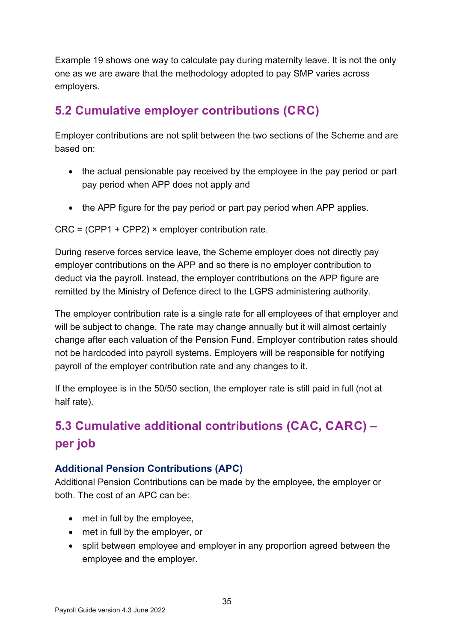Example 19 shows one way to calculate pay during maternity leave. It is not the only one as we are aware that the methodology adopted to pay SMP varies across employers.

# <span id="page-34-0"></span>**5.2 Cumulative employer contributions (CRC)**

Employer contributions are not split between the two sections of the Scheme and are based on:

- the actual pensionable pay received by the employee in the pay period or part pay period when APP does not apply and
- the APP figure for the pay period or part pay period when APP applies.

CRC = (CPP1 + CPP2) × employer contribution rate.

During reserve forces service leave, the Scheme employer does not directly pay employer contributions on the APP and so there is no employer contribution to deduct via the payroll. Instead, the employer contributions on the APP figure are remitted by the Ministry of Defence direct to the LGPS administering authority.

The employer contribution rate is a single rate for all employees of that employer and will be subject to change. The rate may change annually but it will almost certainly change after each valuation of the Pension Fund. Employer contribution rates should not be hardcoded into payroll systems. Employers will be responsible for notifying payroll of the employer contribution rate and any changes to it.

If the employee is in the 50/50 section, the employer rate is still paid in full (not at half rate).

# <span id="page-34-1"></span>**5.3 Cumulative additional contributions (CAC, CARC) – per job**

# <span id="page-34-2"></span>**Additional Pension Contributions (APC)**

Additional Pension Contributions can be made by the employee, the employer or both. The cost of an APC can be:

- met in full by the employee,
- met in full by the employer, or
- split between employee and employer in any proportion agreed between the employee and the employer.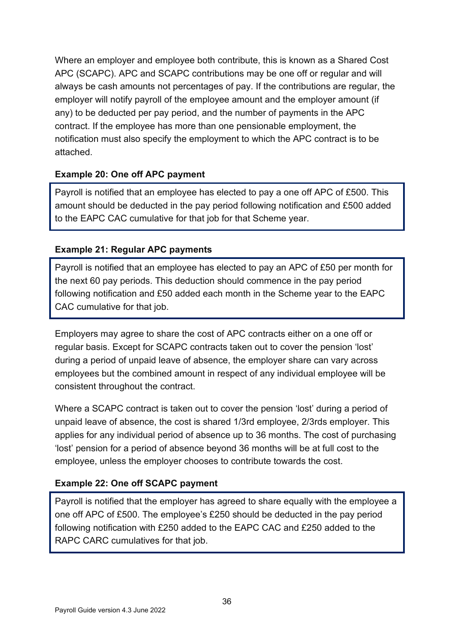Where an employer and employee both contribute, this is known as a Shared Cost APC (SCAPC). APC and SCAPC contributions may be one off or regular and will always be cash amounts not percentages of pay. If the contributions are regular, the employer will notify payroll of the employee amount and the employer amount (if any) to be deducted per pay period, and the number of payments in the APC contract. If the employee has more than one pensionable employment, the notification must also specify the employment to which the APC contract is to be attached.

### **Example 20: One off APC payment**

Payroll is notified that an employee has elected to pay a one off APC of £500. This amount should be deducted in the pay period following notification and £500 added to the EAPC CAC cumulative for that job for that Scheme year.

#### **Example 21: Regular APC payments**

Payroll is notified that an employee has elected to pay an APC of £50 per month for the next 60 pay periods. This deduction should commence in the pay period following notification and £50 added each month in the Scheme year to the EAPC CAC cumulative for that job.

Employers may agree to share the cost of APC contracts either on a one off or regular basis. Except for SCAPC contracts taken out to cover the pension 'lost' during a period of unpaid leave of absence, the employer share can vary across employees but the combined amount in respect of any individual employee will be consistent throughout the contract.

Where a SCAPC contract is taken out to cover the pension 'lost' during a period of unpaid leave of absence, the cost is shared 1/3rd employee, 2/3rds employer. This applies for any individual period of absence up to 36 months. The cost of purchasing 'lost' pension for a period of absence beyond 36 months will be at full cost to the employee, unless the employer chooses to contribute towards the cost.

### **Example 22: One off SCAPC payment**

Payroll is notified that the employer has agreed to share equally with the employee a one off APC of £500. The employee's  $£250$  should be deducted in the pay period following notification with £250 added to the EAPC CAC and £250 added to the RAPC CARC cumulatives for that job.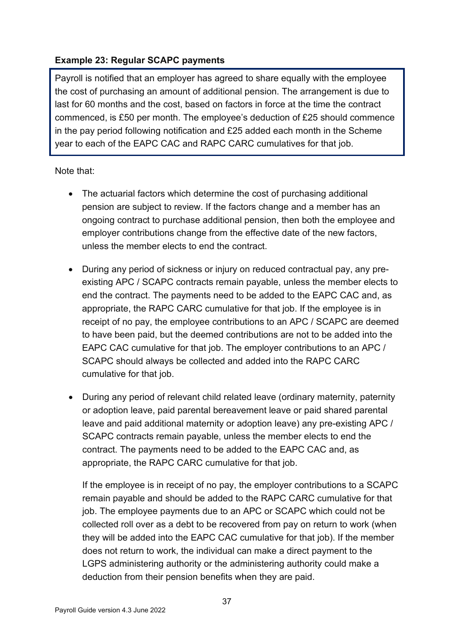### **Example 23: Regular SCAPC payments**

Payroll is notified that an employer has agreed to share equally with the employee the cost of purchasing an amount of additional pension. The arrangement is due to last for 60 months and the cost, based on factors in force at the time the contract commenced, is £50 per month. The employee's deduction of £25 should commence in the pay period following notification and £25 added each month in the Scheme year to each of the EAPC CAC and RAPC CARC cumulatives for that job.

Note that:

- The actuarial factors which determine the cost of purchasing additional pension are subject to review. If the factors change and a member has an ongoing contract to purchase additional pension, then both the employee and employer contributions change from the effective date of the new factors, unless the member elects to end the contract.
- During any period of sickness or injury on reduced contractual pay, any preexisting APC / SCAPC contracts remain payable, unless the member elects to end the contract. The payments need to be added to the EAPC CAC and, as appropriate, the RAPC CARC cumulative for that job. If the employee is in receipt of no pay, the employee contributions to an APC / SCAPC are deemed to have been paid, but the deemed contributions are not to be added into the EAPC CAC cumulative for that job. The employer contributions to an APC / SCAPC should always be collected and added into the RAPC CARC cumulative for that job.
- During any period of relevant child related leave (ordinary maternity, paternity or adoption leave, paid parental bereavement leave or paid shared parental leave and paid additional maternity or adoption leave) any pre-existing APC / SCAPC contracts remain payable, unless the member elects to end the contract. The payments need to be added to the EAPC CAC and, as appropriate, the RAPC CARC cumulative for that job.

If the employee is in receipt of no pay, the employer contributions to a SCAPC remain payable and should be added to the RAPC CARC cumulative for that job. The employee payments due to an APC or SCAPC which could not be collected roll over as a debt to be recovered from pay on return to work (when they will be added into the EAPC CAC cumulative for that job). If the member does not return to work, the individual can make a direct payment to the LGPS administering authority or the administering authority could make a deduction from their pension benefits when they are paid.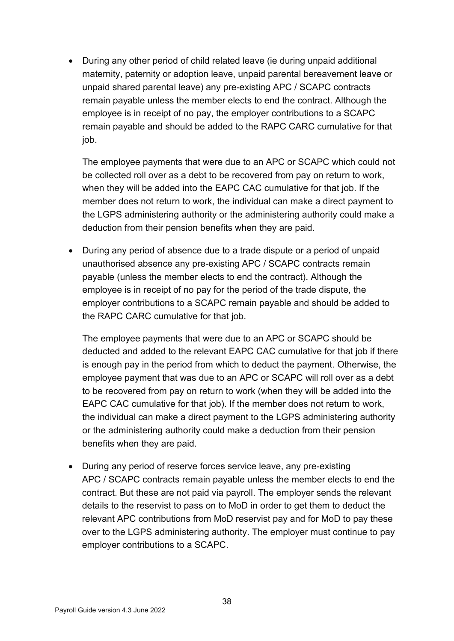• During any other period of child related leave (ie during unpaid additional maternity, paternity or adoption leave, unpaid parental bereavement leave or unpaid shared parental leave) any pre-existing APC / SCAPC contracts remain payable unless the member elects to end the contract. Although the employee is in receipt of no pay, the employer contributions to a SCAPC remain payable and should be added to the RAPC CARC cumulative for that job.

The employee payments that were due to an APC or SCAPC which could not be collected roll over as a debt to be recovered from pay on return to work, when they will be added into the EAPC CAC cumulative for that job. If the member does not return to work, the individual can make a direct payment to the LGPS administering authority or the administering authority could make a deduction from their pension benefits when they are paid.

• During any period of absence due to a trade dispute or a period of unpaid unauthorised absence any pre-existing APC / SCAPC contracts remain payable (unless the member elects to end the contract). Although the employee is in receipt of no pay for the period of the trade dispute, the employer contributions to a SCAPC remain payable and should be added to the RAPC CARC cumulative for that job.

The employee payments that were due to an APC or SCAPC should be deducted and added to the relevant EAPC CAC cumulative for that job if there is enough pay in the period from which to deduct the payment. Otherwise, the employee payment that was due to an APC or SCAPC will roll over as a debt to be recovered from pay on return to work (when they will be added into the EAPC CAC cumulative for that job). If the member does not return to work, the individual can make a direct payment to the LGPS administering authority or the administering authority could make a deduction from their pension benefits when they are paid.

• During any period of reserve forces service leave, any pre-existing APC / SCAPC contracts remain payable unless the member elects to end the contract. But these are not paid via payroll. The employer sends the relevant details to the reservist to pass on to MoD in order to get them to deduct the relevant APC contributions from MoD reservist pay and for MoD to pay these over to the LGPS administering authority. The employer must continue to pay employer contributions to a SCAPC.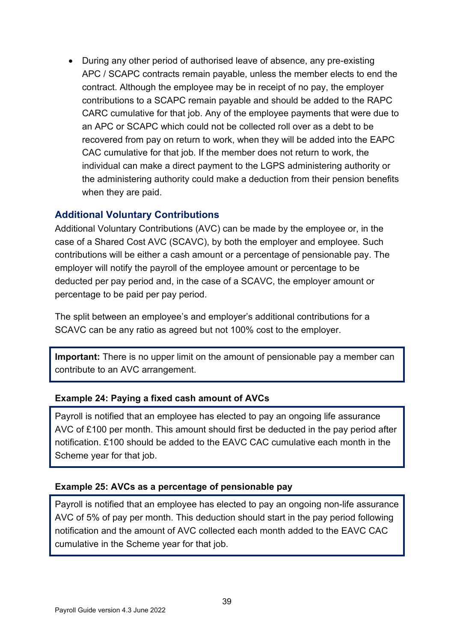• During any other period of authorised leave of absence, any pre-existing APC / SCAPC contracts remain payable, unless the member elects to end the contract. Although the employee may be in receipt of no pay, the employer contributions to a SCAPC remain payable and should be added to the RAPC CARC cumulative for that job. Any of the employee payments that were due to an APC or SCAPC which could not be collected roll over as a debt to be recovered from pay on return to work, when they will be added into the EAPC CAC cumulative for that job. If the member does not return to work, the individual can make a direct payment to the LGPS administering authority or the administering authority could make a deduction from their pension benefits when they are paid.

#### <span id="page-38-0"></span>**Additional Voluntary Contributions**

Additional Voluntary Contributions (AVC) can be made by the employee or, in the case of a Shared Cost AVC (SCAVC), by both the employer and employee. Such contributions will be either a cash amount or a percentage of pensionable pay. The employer will notify the payroll of the employee amount or percentage to be deducted per pay period and, in the case of a SCAVC, the employer amount or percentage to be paid per pay period.

The split between an employee's and employer's additional contributions for a SCAVC can be any ratio as agreed but not 100% cost to the employer.

**Important:** There is no upper limit on the amount of pensionable pay a member can contribute to an AVC arrangement.

#### **Example 24: Paying a fixed cash amount of AVCs**

Payroll is notified that an employee has elected to pay an ongoing life assurance AVC of £100 per month. This amount should first be deducted in the pay period after notification. £100 should be added to the EAVC CAC cumulative each month in the Scheme year for that job.

### **Example 25: AVCs as a percentage of pensionable pay**

Payroll is notified that an employee has elected to pay an ongoing non-life assurance AVC of 5% of pay per month. This deduction should start in the pay period following notification and the amount of AVC collected each month added to the EAVC CAC cumulative in the Scheme year for that job.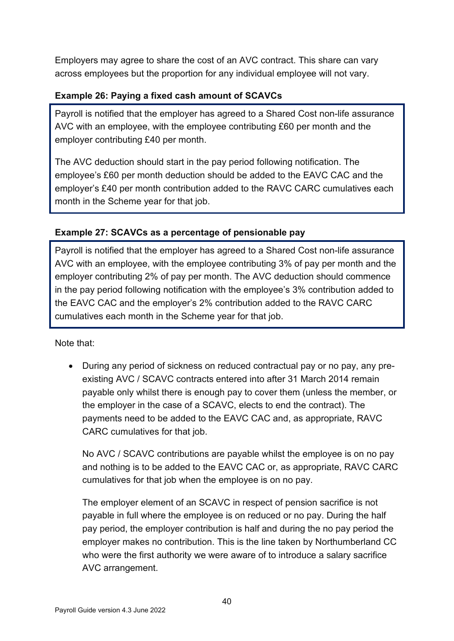Employers may agree to share the cost of an AVC contract. This share can vary across employees but the proportion for any individual employee will not vary.

### **Example 26: Paying a fixed cash amount of SCAVCs**

Payroll is notified that the employer has agreed to a Shared Cost non-life assurance AVC with an employee, with the employee contributing £60 per month and the employer contributing £40 per month.

The AVC deduction should start in the pay period following notification. The employee's £60 per month deduction should be added to the EAVC CAC and the employer's £40 per month contribution added to the RAVC CARC cumulatives each month in the Scheme year for that job.

### **Example 27: SCAVCs as a percentage of pensionable pay**

Payroll is notified that the employer has agreed to a Shared Cost non-life assurance AVC with an employee, with the employee contributing 3% of pay per month and the employer contributing 2% of pay per month. The AVC deduction should commence in the pay period following notification with the employee's 3% contribution added to the EAVC CAC and the employer's 2% contribution added to the RAVC CARC cumulatives each month in the Scheme year for that job.

Note that:

• During any period of sickness on reduced contractual pay or no pay, any preexisting AVC / SCAVC contracts entered into after 31 March 2014 remain payable only whilst there is enough pay to cover them (unless the member, or the employer in the case of a SCAVC, elects to end the contract). The payments need to be added to the EAVC CAC and, as appropriate, RAVC CARC cumulatives for that job.

No AVC / SCAVC contributions are payable whilst the employee is on no pay and nothing is to be added to the EAVC CAC or, as appropriate, RAVC CARC cumulatives for that job when the employee is on no pay.

The employer element of an SCAVC in respect of pension sacrifice is not payable in full where the employee is on reduced or no pay. During the half pay period, the employer contribution is half and during the no pay period the employer makes no contribution. This is the line taken by Northumberland CC who were the first authority we were aware of to introduce a salary sacrifice AVC arrangement.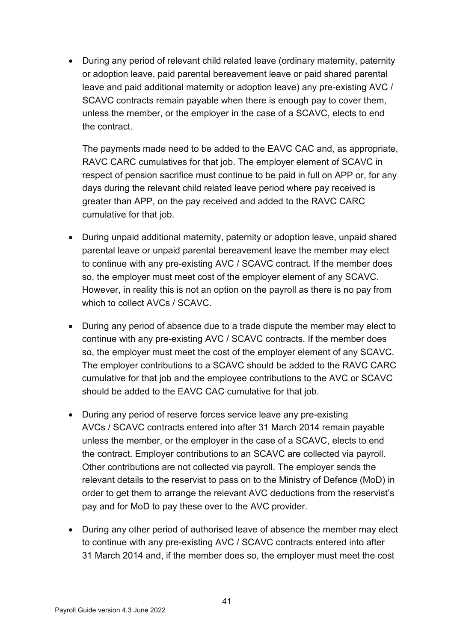• During any period of relevant child related leave (ordinary maternity, paternity or adoption leave, paid parental bereavement leave or paid shared parental leave and paid additional maternity or adoption leave) any pre-existing AVC / SCAVC contracts remain payable when there is enough pay to cover them, unless the member, or the employer in the case of a SCAVC, elects to end the contract.

The payments made need to be added to the EAVC CAC and, as appropriate, RAVC CARC cumulatives for that job. The employer element of SCAVC in respect of pension sacrifice must continue to be paid in full on APP or, for any days during the relevant child related leave period where pay received is greater than APP, on the pay received and added to the RAVC CARC cumulative for that job.

- During unpaid additional maternity, paternity or adoption leave, unpaid shared parental leave or unpaid parental bereavement leave the member may elect to continue with any pre-existing AVC / SCAVC contract. If the member does so, the employer must meet cost of the employer element of any SCAVC. However, in reality this is not an option on the payroll as there is no pay from which to collect AVCs / SCAVC.
- During any period of absence due to a trade dispute the member may elect to continue with any pre-existing AVC / SCAVC contracts. If the member does so, the employer must meet the cost of the employer element of any SCAVC. The employer contributions to a SCAVC should be added to the RAVC CARC cumulative for that job and the employee contributions to the AVC or SCAVC should be added to the EAVC CAC cumulative for that job.
- During any period of reserve forces service leave any pre-existing AVCs / SCAVC contracts entered into after 31 March 2014 remain payable unless the member, or the employer in the case of a SCAVC, elects to end the contract. Employer contributions to an SCAVC are collected via payroll. Other contributions are not collected via payroll. The employer sends the relevant details to the reservist to pass on to the Ministry of Defence (MoD) in order to get them to arrange the relevant AVC deductions from the reservist's pay and for MoD to pay these over to the AVC provider.
- During any other period of authorised leave of absence the member may elect to continue with any pre-existing AVC / SCAVC contracts entered into after 31 March 2014 and, if the member does so, the employer must meet the cost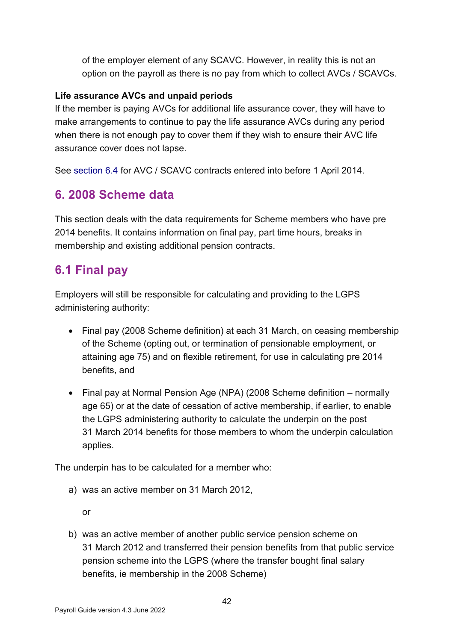of the employer element of any SCAVC. However, in reality this is not an option on the payroll as there is no pay from which to collect AVCs / SCAVCs.

#### **Life assurance AVCs and unpaid periods**

If the member is paying AVCs for additional life assurance cover, they will have to make arrangements to continue to pay the life assurance AVCs during any period when there is not enough pay to cover them if they wish to ensure their AVC life assurance cover does not lapse.

See [section 6.4](#page-47-0) for AVC / SCAVC contracts entered into before 1 April 2014.

# <span id="page-41-0"></span>**6. 2008 Scheme data**

This section deals with the data requirements for Scheme members who have pre 2014 benefits. It contains information on final pay, part time hours, breaks in membership and existing additional pension contracts.

# <span id="page-41-1"></span>**6.1 Final pay**

Employers will still be responsible for calculating and providing to the LGPS administering authority:

- Final pay (2008 Scheme definition) at each 31 March, on ceasing membership of the Scheme (opting out, or termination of pensionable employment, or attaining age 75) and on flexible retirement, for use in calculating pre 2014 benefits, and
- Final pay at Normal Pension Age (NPA) (2008 Scheme definition normally age 65) or at the date of cessation of active membership, if earlier, to enable the LGPS administering authority to calculate the underpin on the post 31 March 2014 benefits for those members to whom the underpin calculation applies.

The underpin has to be calculated for a member who:

a) was an active member on 31 March 2012,

or

b) was an active member of another public service pension scheme on 31 March 2012 and transferred their pension benefits from that public service pension scheme into the LGPS (where the transfer bought final salary benefits, ie membership in the 2008 Scheme)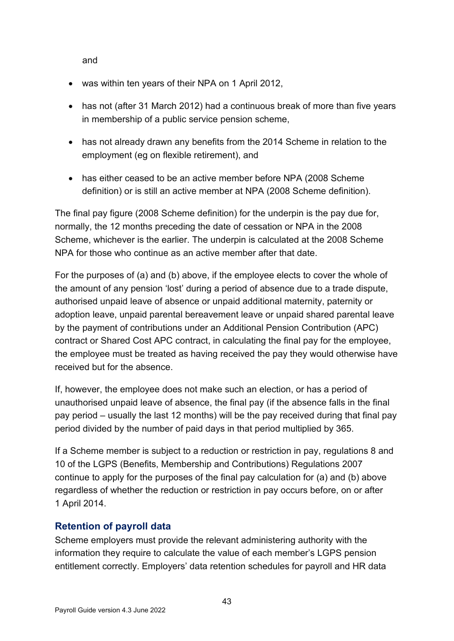and

- was within ten years of their NPA on 1 April 2012,
- has not (after 31 March 2012) had a continuous break of more than five vears in membership of a public service pension scheme,
- has not already drawn any benefits from the 2014 Scheme in relation to the employment (eg on flexible retirement), and
- has either ceased to be an active member before NPA (2008 Scheme definition) or is still an active member at NPA (2008 Scheme definition).

The final pay figure (2008 Scheme definition) for the underpin is the pay due for, normally, the 12 months preceding the date of cessation or NPA in the 2008 Scheme, whichever is the earlier. The underpin is calculated at the 2008 Scheme NPA for those who continue as an active member after that date.

For the purposes of (a) and (b) above, if the employee elects to cover the whole of the amount of any pension 'lost' during a period of absence due to a trade dispute, authorised unpaid leave of absence or unpaid additional maternity, paternity or adoption leave, unpaid parental bereavement leave or unpaid shared parental leave by the payment of contributions under an Additional Pension Contribution (APC) contract or Shared Cost APC contract, in calculating the final pay for the employee, the employee must be treated as having received the pay they would otherwise have received but for the absence.

If, however, the employee does not make such an election, or has a period of unauthorised unpaid leave of absence, the final pay (if the absence falls in the final pay period – usually the last 12 months) will be the pay received during that final pay period divided by the number of paid days in that period multiplied by 365.

If a Scheme member is subject to a reduction or restriction in pay, regulations 8 and 10 of the LGPS (Benefits, Membership and Contributions) Regulations 2007 continue to apply for the purposes of the final pay calculation for (a) and (b) above regardless of whether the reduction or restriction in pay occurs before, on or after 1 April 2014.

# <span id="page-42-0"></span>**Retention of payroll data**

Scheme employers must provide the relevant administering authority with the information they require to calculate the value of each member's LGPS pension entitlement correctly. Employers' data retention schedules for payroll and HR data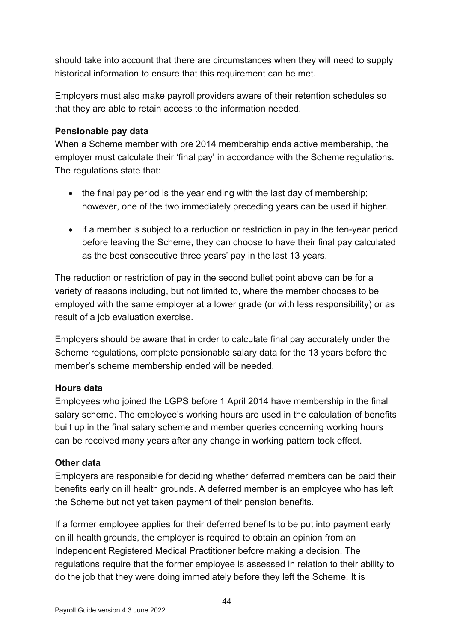should take into account that there are circumstances when they will need to supply historical information to ensure that this requirement can be met.

Employers must also make payroll providers aware of their retention schedules so that they are able to retain access to the information needed.

#### **Pensionable pay data**

When a Scheme member with pre 2014 membership ends active membership, the employer must calculate their 'final pay' in accordance with the Scheme regulations. The regulations state that:

- the final pay period is the year ending with the last day of membership; however, one of the two immediately preceding years can be used if higher.
- if a member is subject to a reduction or restriction in pay in the ten-year period before leaving the Scheme, they can choose to have their final pay calculated as the best consecutive three years' pay in the last 13 years.

The reduction or restriction of pay in the second bullet point above can be for a variety of reasons including, but not limited to, where the member chooses to be employed with the same employer at a lower grade (or with less responsibility) or as result of a job evaluation exercise.

Employers should be aware that in order to calculate final pay accurately under the Scheme regulations, complete pensionable salary data for the 13 years before the member's scheme membership ended will be needed.

#### **Hours data**

Employees who joined the LGPS before 1 April 2014 have membership in the final salary scheme. The employee's working hours are used in the calculation of benefits built up in the final salary scheme and member queries concerning working hours can be received many years after any change in working pattern took effect.

#### **Other data**

Employers are responsible for deciding whether deferred members can be paid their benefits early on ill health grounds. A deferred member is an employee who has left the Scheme but not yet taken payment of their pension benefits.

If a former employee applies for their deferred benefits to be put into payment early on ill health grounds, the employer is required to obtain an opinion from an Independent Registered Medical Practitioner before making a decision. The regulations require that the former employee is assessed in relation to their ability to do the job that they were doing immediately before they left the Scheme. It is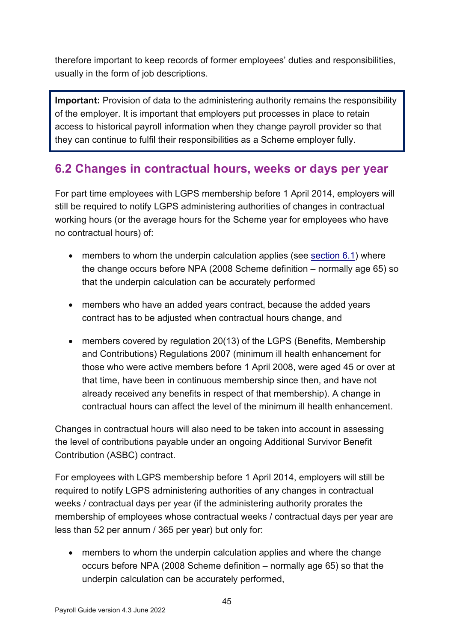therefore important to keep records of former employees' duties and responsibilities, usually in the form of job descriptions.

**Important:** Provision of data to the administering authority remains the responsibility of the employer. It is important that employers put processes in place to retain access to historical payroll information when they change payroll provider so that they can continue to fulfil their responsibilities as a Scheme employer fully.

# <span id="page-44-0"></span>**6.2 Changes in contractual hours, weeks or days per year**

For part time employees with LGPS membership before 1 April 2014, employers will still be required to notify LGPS administering authorities of changes in contractual working hours (or the average hours for the Scheme year for employees who have no contractual hours) of:

- members to whom the underpin calculation applies (see [section 6.1\)](#page-41-1) where the change occurs before NPA (2008 Scheme definition  $-$  normally age 65) so that the underpin calculation can be accurately performed
- members who have an added years contract, because the added years contract has to be adjusted when contractual hours change, and
- members covered by regulation 20(13) of the LGPS (Benefits, Membership and Contributions) Regulations 2007 (minimum ill health enhancement for those who were active members before 1 April 2008, were aged 45 or over at that time, have been in continuous membership since then, and have not already received any benefits in respect of that membership). A change in contractual hours can affect the level of the minimum ill health enhancement.

Changes in contractual hours will also need to be taken into account in assessing the level of contributions payable under an ongoing Additional Survivor Benefit Contribution (ASBC) contract.

For employees with LGPS membership before 1 April 2014, employers will still be required to notify LGPS administering authorities of any changes in contractual weeks / contractual days per year (if the administering authority prorates the membership of employees whose contractual weeks / contractual days per year are less than 52 per annum / 365 per year) but only for:

• members to whom the underpin calculation applies and where the change occurs before NPA (2008 Scheme definition – normally age 65) so that the underpin calculation can be accurately performed,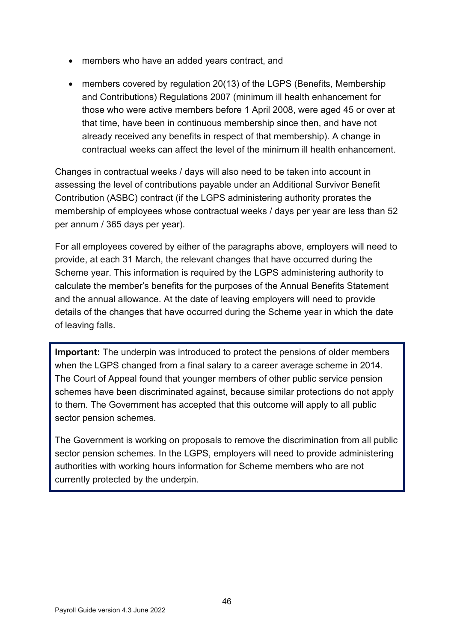- members who have an added years contract, and
- members covered by regulation 20(13) of the LGPS (Benefits, Membership and Contributions) Regulations 2007 (minimum ill health enhancement for those who were active members before 1 April 2008, were aged 45 or over at that time, have been in continuous membership since then, and have not already received any benefits in respect of that membership). A change in contractual weeks can affect the level of the minimum ill health enhancement.

Changes in contractual weeks / days will also need to be taken into account in assessing the level of contributions payable under an Additional Survivor Benefit Contribution (ASBC) contract (if the LGPS administering authority prorates the membership of employees whose contractual weeks / days per year are less than 52 per annum / 365 days per year).

For all employees covered by either of the paragraphs above, employers will need to provide, at each 31 March, the relevant changes that have occurred during the Scheme year. This information is required by the LGPS administering authority to calculate the member's benefits for the purposes of the Annual Benefits Statement and the annual allowance. At the date of leaving employers will need to provide details of the changes that have occurred during the Scheme year in which the date of leaving falls.

**Important:** The underpin was introduced to protect the pensions of older members when the LGPS changed from a final salary to a career average scheme in 2014. The Court of Appeal found that younger members of other public service pension schemes have been discriminated against, because similar protections do not apply to them. The Government has accepted that this outcome will apply to all public sector pension schemes.

The Government is working on proposals to remove the discrimination from all public sector pension schemes. In the LGPS, employers will need to provide administering authorities with working hours information for Scheme members who are not currently protected by the underpin.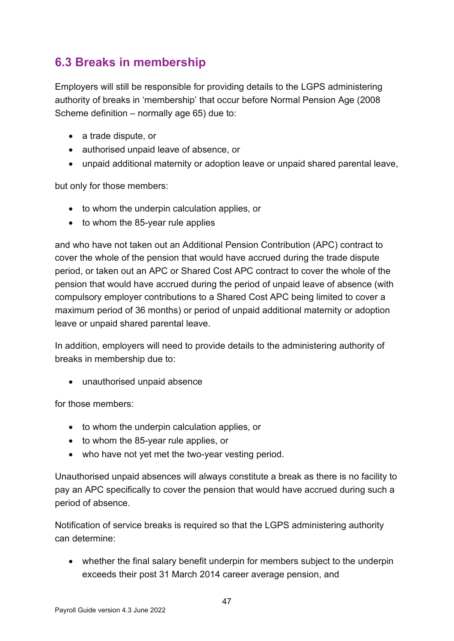# <span id="page-46-0"></span>**6.3 Breaks in membership**

Employers will still be responsible for providing details to the LGPS administering authority of breaks in 'membership' that occur before Normal Pension Age (2008 Scheme definition – normally age 65) due to:

- a trade dispute, or
- authorised unpaid leave of absence, or
- unpaid additional maternity or adoption leave or unpaid shared parental leave,

but only for those members:

- to whom the underpin calculation applies, or
- to whom the 85-year rule applies

and who have not taken out an Additional Pension Contribution (APC) contract to cover the whole of the pension that would have accrued during the trade dispute period, or taken out an APC or Shared Cost APC contract to cover the whole of the pension that would have accrued during the period of unpaid leave of absence (with compulsory employer contributions to a Shared Cost APC being limited to cover a maximum period of 36 months) or period of unpaid additional maternity or adoption leave or unpaid shared parental leave.

In addition, employers will need to provide details to the administering authority of breaks in membership due to:

• unauthorised unpaid absence

for those members:

- to whom the underpin calculation applies, or
- to whom the 85-year rule applies, or
- who have not yet met the two-year vesting period.

Unauthorised unpaid absences will always constitute a break as there is no facility to pay an APC specifically to cover the pension that would have accrued during such a period of absence.

Notification of service breaks is required so that the LGPS administering authority can determine:

• whether the final salary benefit underpin for members subject to the underpin exceeds their post 31 March 2014 career average pension, and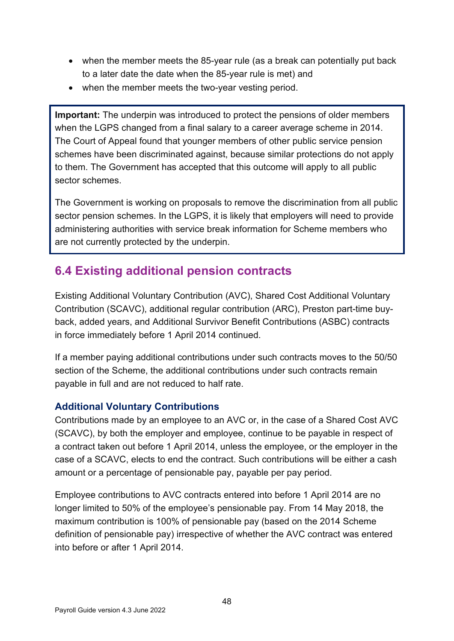- when the member meets the 85-year rule (as a break can potentially put back to a later date the date when the 85-year rule is met) and
- when the member meets the two-vear vesting period.

**Important:** The underpin was introduced to protect the pensions of older members when the LGPS changed from a final salary to a career average scheme in 2014. The Court of Appeal found that younger members of other public service pension schemes have been discriminated against, because similar protections do not apply to them. The Government has accepted that this outcome will apply to all public sector schemes.

The Government is working on proposals to remove the discrimination from all public sector pension schemes. In the LGPS, it is likely that employers will need to provide administering authorities with service break information for Scheme members who are not currently protected by the underpin.

# <span id="page-47-0"></span>**6.4 Existing additional pension contracts**

Existing Additional Voluntary Contribution (AVC), Shared Cost Additional Voluntary Contribution (SCAVC), additional regular contribution (ARC), Preston part-time buyback, added years, and Additional Survivor Benefit Contributions (ASBC) contracts in force immediately before 1 April 2014 continued.

If a member paying additional contributions under such contracts moves to the 50/50 section of the Scheme, the additional contributions under such contracts remain payable in full and are not reduced to half rate.

### <span id="page-47-1"></span>**Additional Voluntary Contributions**

Contributions made by an employee to an AVC or, in the case of a Shared Cost AVC (SCAVC), by both the employer and employee, continue to be payable in respect of a contract taken out before 1 April 2014, unless the employee, or the employer in the case of a SCAVC, elects to end the contract. Such contributions will be either a cash amount or a percentage of pensionable pay, payable per pay period.

Employee contributions to AVC contracts entered into before 1 April 2014 are no longer limited to 50% of the employee's pensionable pay. From 14 May 2018, the maximum contribution is 100% of pensionable pay (based on the 2014 Scheme definition of pensionable pay) irrespective of whether the AVC contract was entered into before or after 1 April 2014.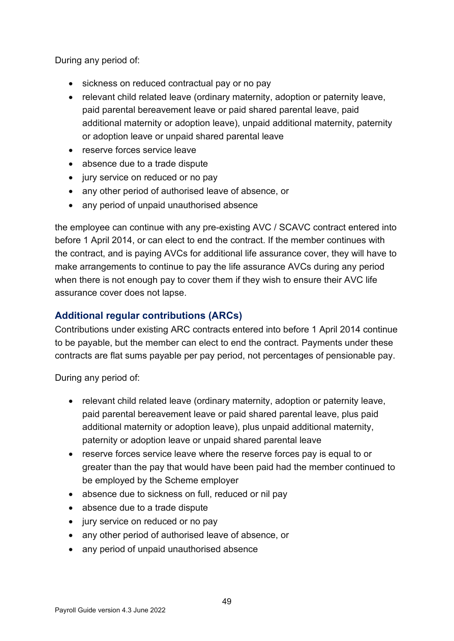During any period of:

- sickness on reduced contractual pay or no pay
- relevant child related leave (ordinary maternity, adoption or paternity leave, paid parental bereavement leave or paid shared parental leave, paid additional maternity or adoption leave), unpaid additional maternity, paternity or adoption leave or unpaid shared parental leave
- reserve forces service leave
- absence due to a trade dispute
- jury service on reduced or no pay
- any other period of authorised leave of absence, or
- any period of unpaid unauthorised absence

the employee can continue with any pre-existing AVC / SCAVC contract entered into before 1 April 2014, or can elect to end the contract. If the member continues with the contract, and is paying AVCs for additional life assurance cover, they will have to make arrangements to continue to pay the life assurance AVCs during any period when there is not enough pay to cover them if they wish to ensure their AVC life assurance cover does not lapse.

### <span id="page-48-0"></span>**Additional regular contributions (ARCs)**

Contributions under existing ARC contracts entered into before 1 April 2014 continue to be payable, but the member can elect to end the contract. Payments under these contracts are flat sums payable per pay period, not percentages of pensionable pay.

During any period of:

- relevant child related leave (ordinary maternity, adoption or paternity leave, paid parental bereavement leave or paid shared parental leave, plus paid additional maternity or adoption leave), plus unpaid additional maternity, paternity or adoption leave or unpaid shared parental leave
- reserve forces service leave where the reserve forces pay is equal to or greater than the pay that would have been paid had the member continued to be employed by the Scheme employer
- absence due to sickness on full, reduced or nil pay
- absence due to a trade dispute
- jury service on reduced or no pay
- any other period of authorised leave of absence, or
- any period of unpaid unauthorised absence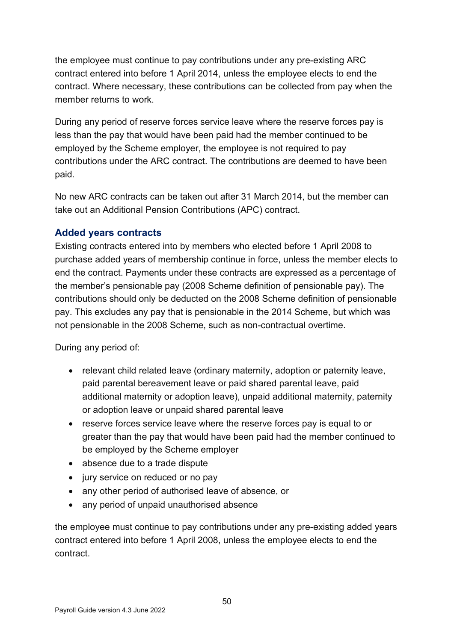the employee must continue to pay contributions under any pre-existing ARC contract entered into before 1 April 2014, unless the employee elects to end the contract. Where necessary, these contributions can be collected from pay when the member returns to work.

During any period of reserve forces service leave where the reserve forces pay is less than the pay that would have been paid had the member continued to be employed by the Scheme employer, the employee is not required to pay contributions under the ARC contract. The contributions are deemed to have been paid.

No new ARC contracts can be taken out after 31 March 2014, but the member can take out an Additional Pension Contributions (APC) contract.

### <span id="page-49-0"></span>**Added years contracts**

Existing contracts entered into by members who elected before 1 April 2008 to purchase added years of membership continue in force, unless the member elects to end the contract. Payments under these contracts are expressed as a percentage of the member's pensionable pay (2008 Scheme definition of pensionable pay). The contributions should only be deducted on the 2008 Scheme definition of pensionable pay. This excludes any pay that is pensionable in the 2014 Scheme, but which was not pensionable in the 2008 Scheme, such as non-contractual overtime.

During any period of:

- relevant child related leave (ordinary maternity, adoption or paternity leave, paid parental bereavement leave or paid shared parental leave, paid additional maternity or adoption leave), unpaid additional maternity, paternity or adoption leave or unpaid shared parental leave
- reserve forces service leave where the reserve forces pay is equal to or greater than the pay that would have been paid had the member continued to be employed by the Scheme employer
- absence due to a trade dispute
- jury service on reduced or no pay
- any other period of authorised leave of absence, or
- any period of unpaid unauthorised absence

the employee must continue to pay contributions under any pre-existing added years contract entered into before 1 April 2008, unless the employee elects to end the contract.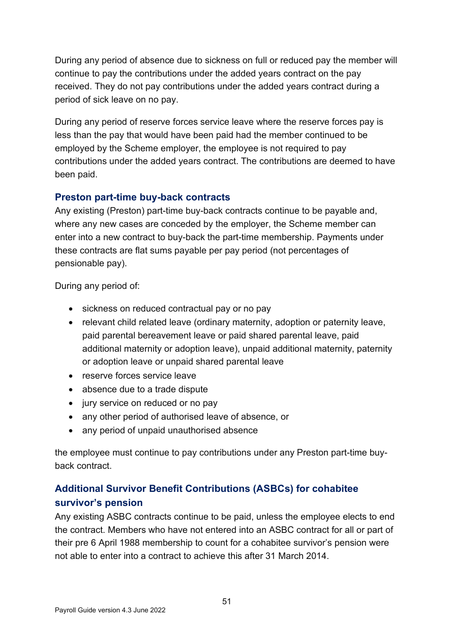During any period of absence due to sickness on full or reduced pay the member will continue to pay the contributions under the added years contract on the pay received. They do not pay contributions under the added years contract during a period of sick leave on no pay.

During any period of reserve forces service leave where the reserve forces pay is less than the pay that would have been paid had the member continued to be employed by the Scheme employer, the employee is not required to pay contributions under the added years contract. The contributions are deemed to have been paid.

# <span id="page-50-0"></span>**Preston part-time buy-back contracts**

Any existing (Preston) part-time buy-back contracts continue to be payable and, where any new cases are conceded by the employer, the Scheme member can enter into a new contract to buy-back the part-time membership. Payments under these contracts are flat sums payable per pay period (not percentages of pensionable pay).

During any period of:

- sickness on reduced contractual pay or no pay
- relevant child related leave (ordinary maternity, adoption or paternity leave, paid parental bereavement leave or paid shared parental leave, paid additional maternity or adoption leave), unpaid additional maternity, paternity or adoption leave or unpaid shared parental leave
- reserve forces service leave
- absence due to a trade dispute
- jury service on reduced or no pay
- any other period of authorised leave of absence, or
- any period of unpaid unauthorised absence

the employee must continue to pay contributions under any Preston part-time buyback contract.

# <span id="page-50-1"></span>**Additional Survivor Benefit Contributions (ASBCs) for cohabitee survivor's pension**

Any existing ASBC contracts continue to be paid, unless the employee elects to end the contract. Members who have not entered into an ASBC contract for all or part of their pre 6 April 1988 membership to count for a cohabitee survivor's pension were not able to enter into a contract to achieve this after 31 March 2014.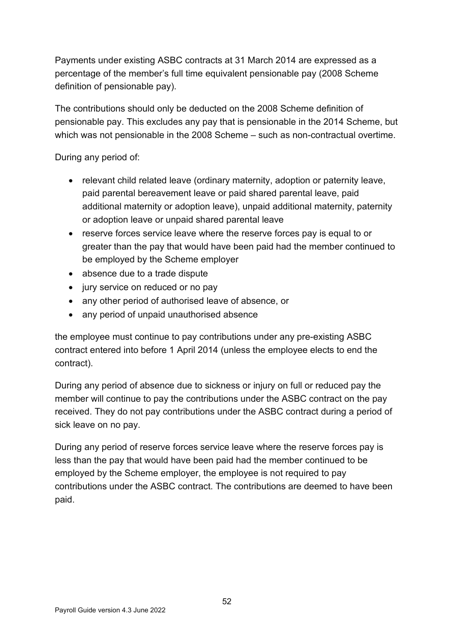Payments under existing ASBC contracts at 31 March 2014 are expressed as a percentage of the member's full time equivalent pensionable pay (2008 Scheme definition of pensionable pay).

The contributions should only be deducted on the 2008 Scheme definition of pensionable pay. This excludes any pay that is pensionable in the 2014 Scheme, but which was not pensionable in the 2008 Scheme – such as non-contractual overtime.

During any period of:

- relevant child related leave (ordinary maternity, adoption or paternity leave, paid parental bereavement leave or paid shared parental leave, paid additional maternity or adoption leave), unpaid additional maternity, paternity or adoption leave or unpaid shared parental leave
- reserve forces service leave where the reserve forces pay is equal to or greater than the pay that would have been paid had the member continued to be employed by the Scheme employer
- absence due to a trade dispute
- jury service on reduced or no pay
- any other period of authorised leave of absence, or
- any period of unpaid unauthorised absence

the employee must continue to pay contributions under any pre-existing ASBC contract entered into before 1 April 2014 (unless the employee elects to end the contract).

During any period of absence due to sickness or injury on full or reduced pay the member will continue to pay the contributions under the ASBC contract on the pay received. They do not pay contributions under the ASBC contract during a period of sick leave on no pay.

During any period of reserve forces service leave where the reserve forces pay is less than the pay that would have been paid had the member continued to be employed by the Scheme employer, the employee is not required to pay contributions under the ASBC contract. The contributions are deemed to have been paid.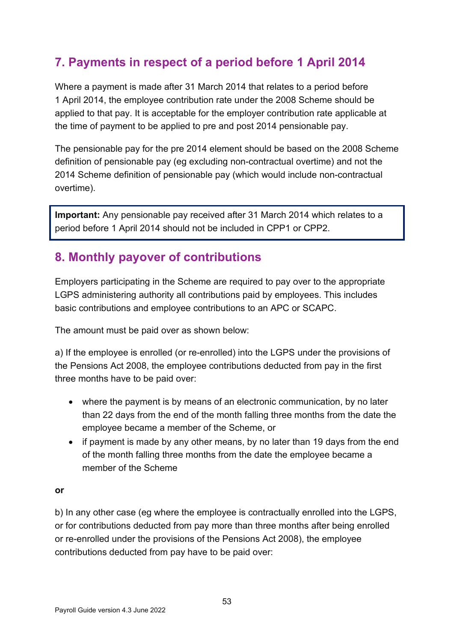# <span id="page-52-0"></span>**7. Payments in respect of a period before 1 April 2014**

Where a payment is made after 31 March 2014 that relates to a period before 1 April 2014, the employee contribution rate under the 2008 Scheme should be applied to that pay. It is acceptable for the employer contribution rate applicable at the time of payment to be applied to pre and post 2014 pensionable pay.

The pensionable pay for the pre 2014 element should be based on the 2008 Scheme definition of pensionable pay (eg excluding non-contractual overtime) and not the 2014 Scheme definition of pensionable pay (which would include non-contractual overtime).

**Important:** Any pensionable pay received after 31 March 2014 which relates to a period before 1 April 2014 should not be included in CPP1 or CPP2.

# <span id="page-52-1"></span>**8. Monthly payover of contributions**

Employers participating in the Scheme are required to pay over to the appropriate LGPS administering authority all contributions paid by employees. This includes basic contributions and employee contributions to an APC or SCAPC.

The amount must be paid over as shown below:

a) If the employee is enrolled (or re-enrolled) into the LGPS under the provisions of the Pensions Act 2008, the employee contributions deducted from pay in the first three months have to be paid over:

- where the payment is by means of an electronic communication, by no later than 22 days from the end of the month falling three months from the date the employee became a member of the Scheme, or
- if payment is made by any other means, by no later than 19 days from the end of the month falling three months from the date the employee became a member of the Scheme

#### **or**

b) In any other case (eg where the employee is contractually enrolled into the LGPS, or for contributions deducted from pay more than three months after being enrolled or re-enrolled under the provisions of the Pensions Act 2008), the employee contributions deducted from pay have to be paid over: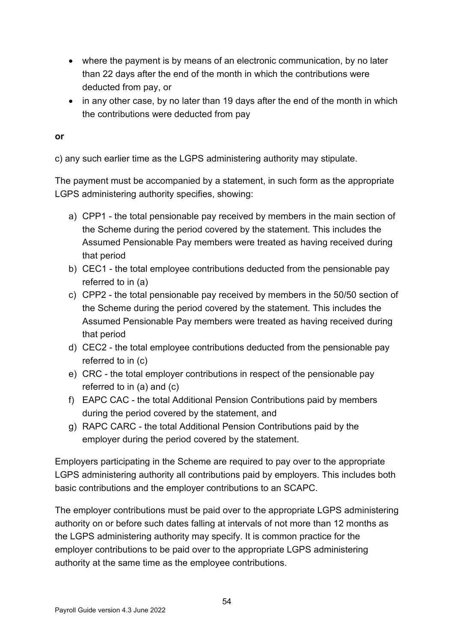- where the payment is by means of an electronic communication, by no later than 22 days after the end of the month in which the contributions were deducted from pay, or
- in any other case, by no later than 19 days after the end of the month in which the contributions were deducted from pay

#### **or**

c) any such earlier time as the LGPS administering authority may stipulate.

The payment must be accompanied by a statement, in such form as the appropriate LGPS administering authority specifies, showing:

- a) CPP1 the total pensionable pay received by members in the main section of the Scheme during the period covered by the statement. This includes the Assumed Pensionable Pay members were treated as having received during that period
- b) CEC1 the total employee contributions deducted from the pensionable pay referred to in (a)
- c) CPP2 the total pensionable pay received by members in the 50/50 section of the Scheme during the period covered by the statement. This includes the Assumed Pensionable Pay members were treated as having received during that period
- d) CEC2 the total employee contributions deducted from the pensionable pay referred to in (c)
- e) CRC the total employer contributions in respect of the pensionable pay referred to in (a) and (c)
- f) EAPC CAC the total Additional Pension Contributions paid by members during the period covered by the statement, and
- g) RAPC CARC the total Additional Pension Contributions paid by the employer during the period covered by the statement.

Employers participating in the Scheme are required to pay over to the appropriate LGPS administering authority all contributions paid by employers. This includes both basic contributions and the employer contributions to an SCAPC.

The employer contributions must be paid over to the appropriate LGPS administering authority on or before such dates falling at intervals of not more than 12 months as the LGPS administering authority may specify. It is common practice for the employer contributions to be paid over to the appropriate LGPS administering authority at the same time as the employee contributions.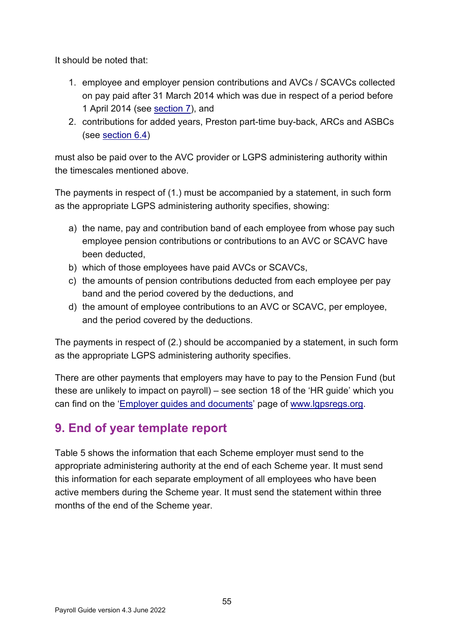It should be noted that:

- 1. employee and employer pension contributions and AVCs / SCAVCs collected on pay paid after 31 March 2014 which was due in respect of a period before 1 April 2014 (see [section 7\)](#page-52-0), and
- 2. contributions for added years, Preston part-time buy-back, ARCs and ASBCs (see [section 6.4\)](#page-47-0)

must also be paid over to the AVC provider or LGPS administering authority within the timescales mentioned above.

The payments in respect of (1.) must be accompanied by a statement, in such form as the appropriate LGPS administering authority specifies, showing:

- a) the name, pay and contribution band of each employee from whose pay such employee pension contributions or contributions to an AVC or SCAVC have been deducted,
- b) which of those employees have paid AVCs or SCAVCs,
- c) the amounts of pension contributions deducted from each employee per pay band and the period covered by the deductions, and
- d) the amount of employee contributions to an AVC or SCAVC, per employee, and the period covered by the deductions.

The payments in respect of (2.) should be accompanied by a statement, in such form as the appropriate LGPS administering authority specifies.

There are other payments that employers may have to pay to the Pension Fund (but these are unlikely to impact on payroll) – see section 18 of the 'HR guide' which you can find on the ['Employer guides and documents'](https://www.lgpsregs.org/employer-resources/guidesetc.php) page of [www.lgpsregs.org.](http://www.lgpsregs.org/)

# <span id="page-54-0"></span>**9. End of year template report**

Table 5 shows the information that each Scheme employer must send to the appropriate administering authority at the end of each Scheme year. It must send this information for each separate employment of all employees who have been active members during the Scheme year. It must send the statement within three months of the end of the Scheme year.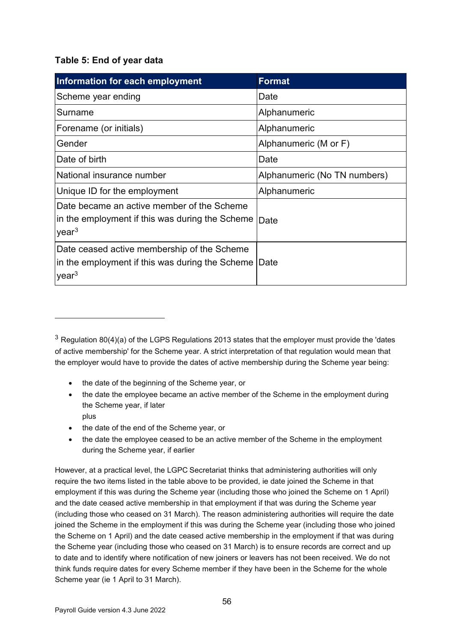#### **Table 5: End of year data**

| Information for each employment                                                                                     | <b>Format</b>                |
|---------------------------------------------------------------------------------------------------------------------|------------------------------|
| Scheme year ending                                                                                                  | Date                         |
| Surname                                                                                                             | Alphanumeric                 |
| Forename (or initials)                                                                                              | Alphanumeric                 |
| Gender                                                                                                              | Alphanumeric (M or F)        |
| Date of birth                                                                                                       | Date                         |
| National insurance number                                                                                           | Alphanumeric (No TN numbers) |
| Unique ID for the employment                                                                                        | Alphanumeric                 |
| Date became an active member of the Scheme<br>in the employment if this was during the Scheme<br>year <sup>3</sup>  | Date                         |
| Date ceased active membership of the Scheme<br>in the employment if this was during the Scheme<br>year <sup>3</sup> | Date                         |

- the date of the beginning of the Scheme year, or
- the date the employee became an active member of the Scheme in the employment during the Scheme year, if later plus
- the date of the end of the Scheme year, or
- the date the employee ceased to be an active member of the Scheme in the employment during the Scheme year, if earlier

However, at a practical level, the LGPC Secretariat thinks that administering authorities will only require the two items listed in the table above to be provided, ie date joined the Scheme in that employment if this was during the Scheme year (including those who joined the Scheme on 1 April) and the date ceased active membership in that employment if that was during the Scheme year (including those who ceased on 31 March). The reason administering authorities will require the date joined the Scheme in the employment if this was during the Scheme year (including those who joined the Scheme on 1 April) and the date ceased active membership in the employment if that was during the Scheme year (including those who ceased on 31 March) is to ensure records are correct and up to date and to identify where notification of new joiners or leavers has not been received. We do not think funds require dates for every Scheme member if they have been in the Scheme for the whole Scheme year (ie 1 April to 31 March).

<span id="page-55-0"></span> $3$  Regulation 80(4)(a) of the LGPS Regulations 2013 states that the employer must provide the 'dates of active membership' for the Scheme year. A strict interpretation of that regulation would mean that the employer would have to provide the dates of active membership during the Scheme year being: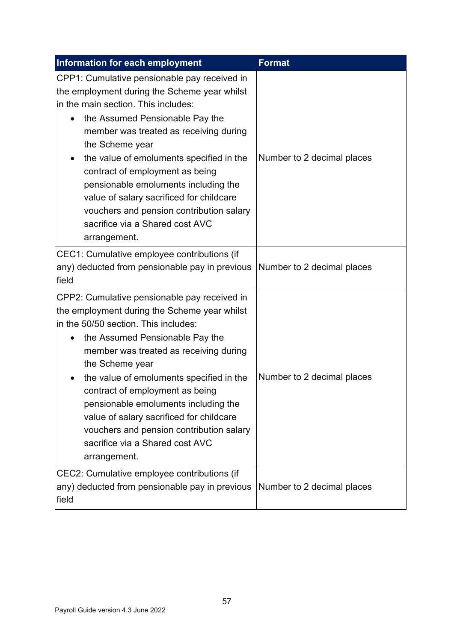| Information for each employment                                                                                                                                                                                                                                                                                                                                                                                                                                                                        | <b>Format</b>              |
|--------------------------------------------------------------------------------------------------------------------------------------------------------------------------------------------------------------------------------------------------------------------------------------------------------------------------------------------------------------------------------------------------------------------------------------------------------------------------------------------------------|----------------------------|
| CPP1: Cumulative pensionable pay received in<br>the employment during the Scheme year whilst<br>in the main section. This includes:<br>the Assumed Pensionable Pay the<br>member was treated as receiving during<br>the Scheme year<br>the value of emoluments specified in the<br>contract of employment as being<br>pensionable emoluments including the<br>value of salary sacrificed for childcare<br>vouchers and pension contribution salary<br>sacrifice via a Shared cost AVC<br>arrangement.  | Number to 2 decimal places |
| CEC1: Cumulative employee contributions (if<br>any) deducted from pensionable pay in previous<br>field                                                                                                                                                                                                                                                                                                                                                                                                 | Number to 2 decimal places |
| CPP2: Cumulative pensionable pay received in<br>the employment during the Scheme year whilst<br>in the 50/50 section. This includes:<br>the Assumed Pensionable Pay the<br>member was treated as receiving during<br>the Scheme year<br>the value of emoluments specified in the<br>contract of employment as being<br>pensionable emoluments including the<br>value of salary sacrificed for childcare<br>vouchers and pension contribution salary<br>sacrifice via a Shared cost AVC<br>arrangement. | Number to 2 decimal places |
| CEC2: Cumulative employee contributions (if<br>any) deducted from pensionable pay in previous<br>field                                                                                                                                                                                                                                                                                                                                                                                                 | Number to 2 decimal places |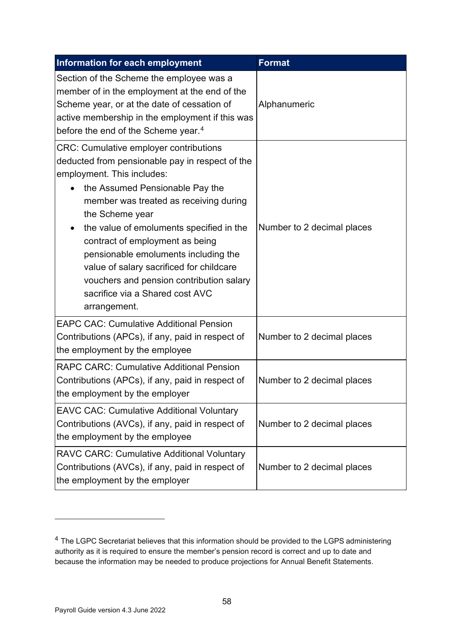| Information for each employment                                                                                                                                                                                                                                                                                                                                                                                                                                                                  | <b>Format</b>              |
|--------------------------------------------------------------------------------------------------------------------------------------------------------------------------------------------------------------------------------------------------------------------------------------------------------------------------------------------------------------------------------------------------------------------------------------------------------------------------------------------------|----------------------------|
| Section of the Scheme the employee was a<br>member of in the employment at the end of the<br>Scheme year, or at the date of cessation of<br>active membership in the employment if this was<br>before the end of the Scheme year. <sup>4</sup>                                                                                                                                                                                                                                                   | Alphanumeric               |
| <b>CRC: Cumulative employer contributions</b><br>deducted from pensionable pay in respect of the<br>employment. This includes:<br>the Assumed Pensionable Pay the<br>member was treated as receiving during<br>the Scheme year<br>the value of emoluments specified in the<br>contract of employment as being<br>pensionable emoluments including the<br>value of salary sacrificed for childcare<br>vouchers and pension contribution salary<br>sacrifice via a Shared cost AVC<br>arrangement. | Number to 2 decimal places |
| <b>EAPC CAC: Cumulative Additional Pension</b><br>Contributions (APCs), if any, paid in respect of<br>the employment by the employee                                                                                                                                                                                                                                                                                                                                                             | Number to 2 decimal places |
| <b>RAPC CARC: Cumulative Additional Pension</b><br>Contributions (APCs), if any, paid in respect of<br>the employment by the employer                                                                                                                                                                                                                                                                                                                                                            | Number to 2 decimal places |
| <b>EAVC CAC: Cumulative Additional Voluntary</b><br>Contributions (AVCs), if any, paid in respect of<br>the employment by the employee                                                                                                                                                                                                                                                                                                                                                           | Number to 2 decimal places |
| <b>RAVC CARC: Cumulative Additional Voluntary</b><br>Contributions (AVCs), if any, paid in respect of<br>the employment by the employer                                                                                                                                                                                                                                                                                                                                                          | Number to 2 decimal places |

<span id="page-57-0"></span><sup>&</sup>lt;sup>4</sup> The LGPC Secretariat believes that this information should be provided to the LGPS administering authority as it is required to ensure the member's pension record is correct and up to date and because the information may be needed to produce projections for Annual Benefit Statements.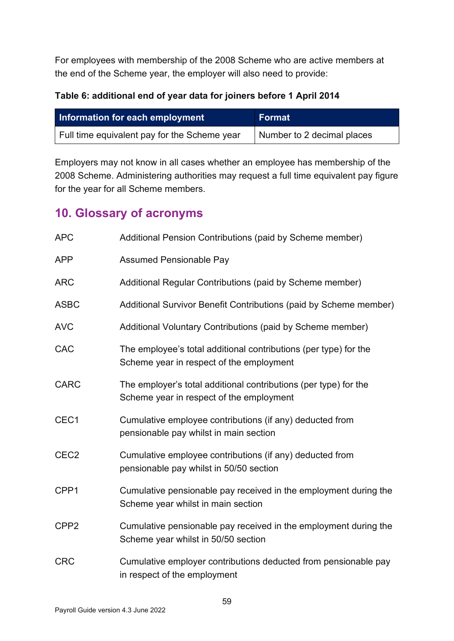For employees with membership of the 2008 Scheme who are active members at the end of the Scheme year, the employer will also need to provide:

### **Table 6: additional end of year data for joiners before 1 April 2014**

| Information for each employment              | Format                     |  |
|----------------------------------------------|----------------------------|--|
| Full time equivalent pay for the Scheme year | Number to 2 decimal places |  |

Employers may not know in all cases whether an employee has membership of the 2008 Scheme. Administering authorities may request a full time equivalent pay figure for the year for all Scheme members.

# <span id="page-58-0"></span>**10. Glossary of acronyms**

| <b>APC</b>       | Additional Pension Contributions (paid by Scheme member)                                                     |
|------------------|--------------------------------------------------------------------------------------------------------------|
| <b>APP</b>       | <b>Assumed Pensionable Pay</b>                                                                               |
| <b>ARC</b>       | Additional Regular Contributions (paid by Scheme member)                                                     |
| <b>ASBC</b>      | Additional Survivor Benefit Contributions (paid by Scheme member)                                            |
| <b>AVC</b>       | Additional Voluntary Contributions (paid by Scheme member)                                                   |
| <b>CAC</b>       | The employee's total additional contributions (per type) for the<br>Scheme year in respect of the employment |
| <b>CARC</b>      | The employer's total additional contributions (per type) for the<br>Scheme year in respect of the employment |
| CEC1             | Cumulative employee contributions (if any) deducted from<br>pensionable pay whilst in main section           |
| CEC <sub>2</sub> | Cumulative employee contributions (if any) deducted from<br>pensionable pay whilst in 50/50 section          |
| CPP1             | Cumulative pensionable pay received in the employment during the<br>Scheme year whilst in main section       |
| CPP <sub>2</sub> | Cumulative pensionable pay received in the employment during the<br>Scheme year whilst in 50/50 section      |
| <b>CRC</b>       | Cumulative employer contributions deducted from pensionable pay<br>in respect of the employment              |